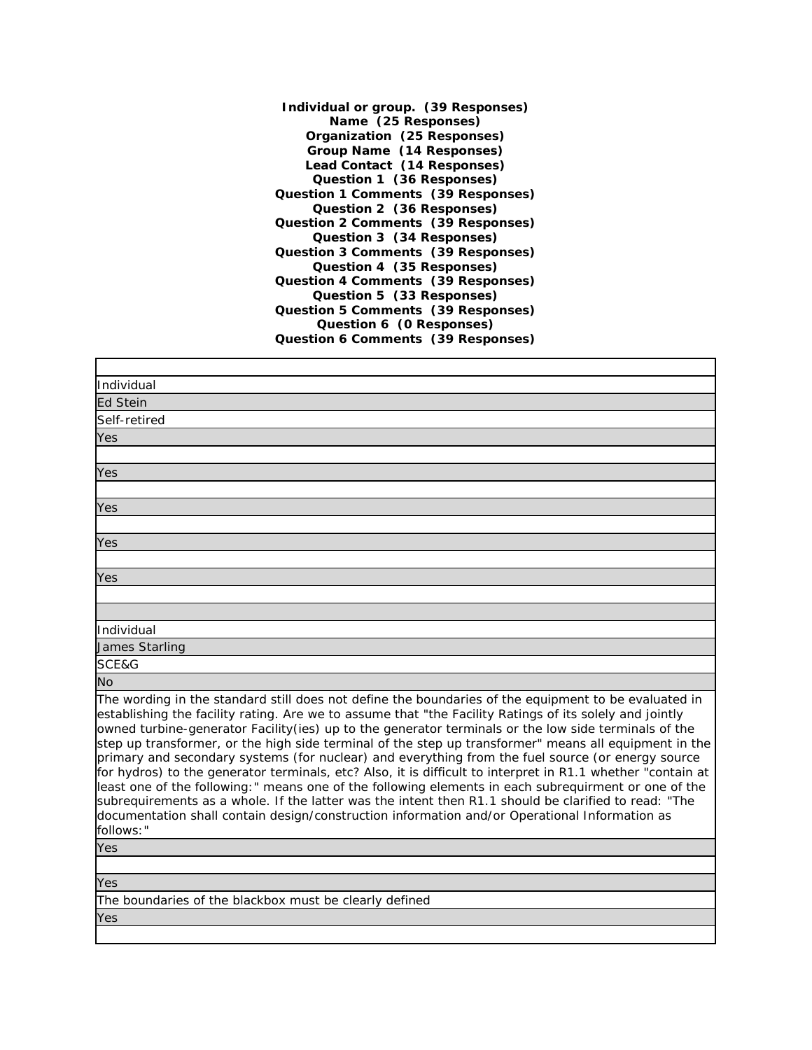**Individual or group. (39 Responses) Name (25 Responses) Organization (25 Responses) Group Name (14 Responses) Lead Contact (14 Responses) Question 1 (36 Responses) Question 1 Comments (39 Responses) Question 2 (36 Responses) Question 2 Comments (39 Responses) Question 3 (34 Responses) Question 3 Comments (39 Responses) Question 4 (35 Responses) Question 4 Comments (39 Responses) Question 5 (33 Responses) Question 5 Comments (39 Responses) Question 6 (0 Responses) Question 6 Comments (39 Responses)**

| Individual                                                                                                                                                                                                                                                                                                                                                                                                                                                                                                                                                                                                                                                                                                                                                                                                                                                                                                                                                                         |
|------------------------------------------------------------------------------------------------------------------------------------------------------------------------------------------------------------------------------------------------------------------------------------------------------------------------------------------------------------------------------------------------------------------------------------------------------------------------------------------------------------------------------------------------------------------------------------------------------------------------------------------------------------------------------------------------------------------------------------------------------------------------------------------------------------------------------------------------------------------------------------------------------------------------------------------------------------------------------------|
| <b>Ed Stein</b>                                                                                                                                                                                                                                                                                                                                                                                                                                                                                                                                                                                                                                                                                                                                                                                                                                                                                                                                                                    |
| Self-retired                                                                                                                                                                                                                                                                                                                                                                                                                                                                                                                                                                                                                                                                                                                                                                                                                                                                                                                                                                       |
| Yes                                                                                                                                                                                                                                                                                                                                                                                                                                                                                                                                                                                                                                                                                                                                                                                                                                                                                                                                                                                |
|                                                                                                                                                                                                                                                                                                                                                                                                                                                                                                                                                                                                                                                                                                                                                                                                                                                                                                                                                                                    |
| <b>Yes</b>                                                                                                                                                                                                                                                                                                                                                                                                                                                                                                                                                                                                                                                                                                                                                                                                                                                                                                                                                                         |
|                                                                                                                                                                                                                                                                                                                                                                                                                                                                                                                                                                                                                                                                                                                                                                                                                                                                                                                                                                                    |
| Yes                                                                                                                                                                                                                                                                                                                                                                                                                                                                                                                                                                                                                                                                                                                                                                                                                                                                                                                                                                                |
|                                                                                                                                                                                                                                                                                                                                                                                                                                                                                                                                                                                                                                                                                                                                                                                                                                                                                                                                                                                    |
| Yes                                                                                                                                                                                                                                                                                                                                                                                                                                                                                                                                                                                                                                                                                                                                                                                                                                                                                                                                                                                |
|                                                                                                                                                                                                                                                                                                                                                                                                                                                                                                                                                                                                                                                                                                                                                                                                                                                                                                                                                                                    |
| Yes                                                                                                                                                                                                                                                                                                                                                                                                                                                                                                                                                                                                                                                                                                                                                                                                                                                                                                                                                                                |
|                                                                                                                                                                                                                                                                                                                                                                                                                                                                                                                                                                                                                                                                                                                                                                                                                                                                                                                                                                                    |
|                                                                                                                                                                                                                                                                                                                                                                                                                                                                                                                                                                                                                                                                                                                                                                                                                                                                                                                                                                                    |
| Individual                                                                                                                                                                                                                                                                                                                                                                                                                                                                                                                                                                                                                                                                                                                                                                                                                                                                                                                                                                         |
| James Starling                                                                                                                                                                                                                                                                                                                                                                                                                                                                                                                                                                                                                                                                                                                                                                                                                                                                                                                                                                     |
| SCE&G                                                                                                                                                                                                                                                                                                                                                                                                                                                                                                                                                                                                                                                                                                                                                                                                                                                                                                                                                                              |
| <b>No</b>                                                                                                                                                                                                                                                                                                                                                                                                                                                                                                                                                                                                                                                                                                                                                                                                                                                                                                                                                                          |
| The wording in the standard still does not define the boundaries of the equipment to be evaluated in<br>establishing the facility rating. Are we to assume that "the Facility Ratings of its solely and jointly<br>owned turbine-generator Facility(ies) up to the generator terminals or the low side terminals of the<br>step up transformer, or the high side terminal of the step up transformer" means all equipment in the<br>primary and secondary systems (for nuclear) and everything from the fuel source (or energy source<br>for hydros) to the generator terminals, etc? Also, it is difficult to interpret in R1.1 whether "contain at<br>least one of the following:" means one of the following elements in each subrequirment or one of the<br>subrequirements as a whole. If the latter was the intent then R1.1 should be clarified to read: "The<br>documentation shall contain design/construction information and/or Operational Information as<br>follows:" |
| Yes                                                                                                                                                                                                                                                                                                                                                                                                                                                                                                                                                                                                                                                                                                                                                                                                                                                                                                                                                                                |
|                                                                                                                                                                                                                                                                                                                                                                                                                                                                                                                                                                                                                                                                                                                                                                                                                                                                                                                                                                                    |
| Yes                                                                                                                                                                                                                                                                                                                                                                                                                                                                                                                                                                                                                                                                                                                                                                                                                                                                                                                                                                                |
| The boundaries of the blookboy must be electly defined                                                                                                                                                                                                                                                                                                                                                                                                                                                                                                                                                                                                                                                                                                                                                                                                                                                                                                                             |

The boundaries of the blackbox must be clearly defined

Yes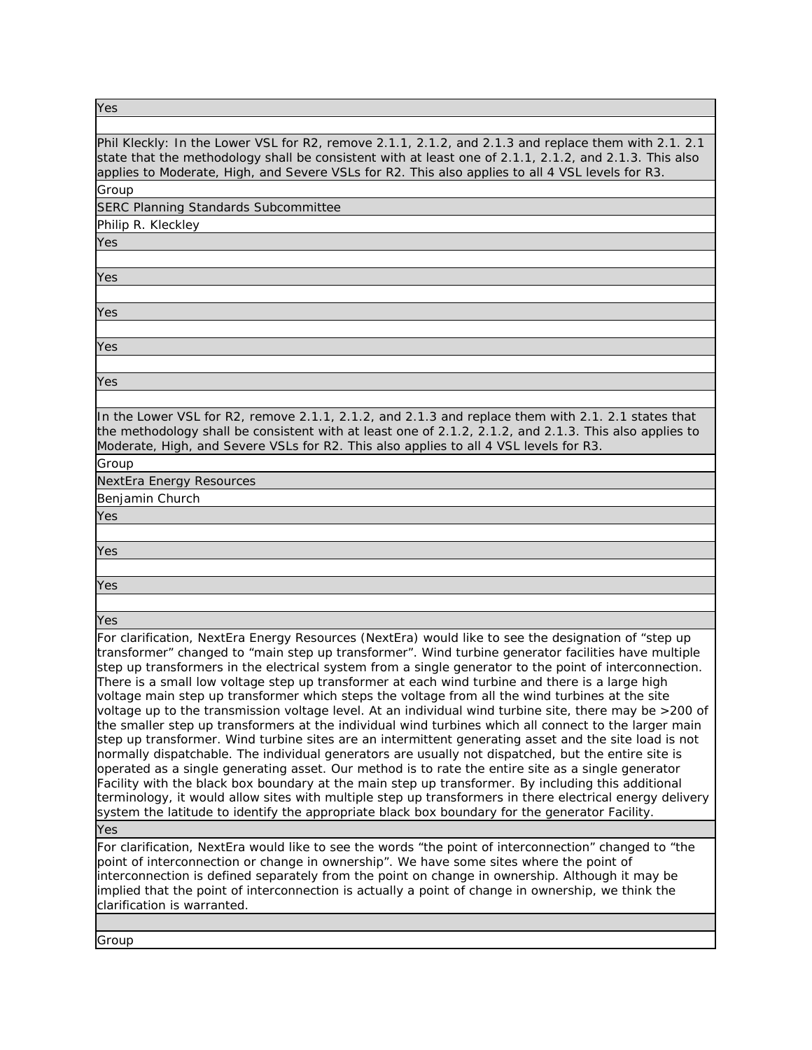| Yes                                                                                                                                                                                                                                                                                                                                                                                                                                                                                                                                                                                                                                                                                                                                                                                                                                                                                                                                                                                                                                                                                                                                                                                                                                                                                                                                                                                     |
|-----------------------------------------------------------------------------------------------------------------------------------------------------------------------------------------------------------------------------------------------------------------------------------------------------------------------------------------------------------------------------------------------------------------------------------------------------------------------------------------------------------------------------------------------------------------------------------------------------------------------------------------------------------------------------------------------------------------------------------------------------------------------------------------------------------------------------------------------------------------------------------------------------------------------------------------------------------------------------------------------------------------------------------------------------------------------------------------------------------------------------------------------------------------------------------------------------------------------------------------------------------------------------------------------------------------------------------------------------------------------------------------|
|                                                                                                                                                                                                                                                                                                                                                                                                                                                                                                                                                                                                                                                                                                                                                                                                                                                                                                                                                                                                                                                                                                                                                                                                                                                                                                                                                                                         |
| Phil Kleckly: In the Lower VSL for R2, remove 2.1.1, 2.1.2, and 2.1.3 and replace them with 2.1. 2.1<br>state that the methodology shall be consistent with at least one of 2.1.1, 2.1.2, and 2.1.3. This also<br>applies to Moderate, High, and Severe VSLs for R2. This also applies to all 4 VSL levels for R3.                                                                                                                                                                                                                                                                                                                                                                                                                                                                                                                                                                                                                                                                                                                                                                                                                                                                                                                                                                                                                                                                      |
| Group                                                                                                                                                                                                                                                                                                                                                                                                                                                                                                                                                                                                                                                                                                                                                                                                                                                                                                                                                                                                                                                                                                                                                                                                                                                                                                                                                                                   |
| SERC Planning Standards Subcommittee                                                                                                                                                                                                                                                                                                                                                                                                                                                                                                                                                                                                                                                                                                                                                                                                                                                                                                                                                                                                                                                                                                                                                                                                                                                                                                                                                    |
| Philip R. Kleckley                                                                                                                                                                                                                                                                                                                                                                                                                                                                                                                                                                                                                                                                                                                                                                                                                                                                                                                                                                                                                                                                                                                                                                                                                                                                                                                                                                      |
| Yes                                                                                                                                                                                                                                                                                                                                                                                                                                                                                                                                                                                                                                                                                                                                                                                                                                                                                                                                                                                                                                                                                                                                                                                                                                                                                                                                                                                     |
|                                                                                                                                                                                                                                                                                                                                                                                                                                                                                                                                                                                                                                                                                                                                                                                                                                                                                                                                                                                                                                                                                                                                                                                                                                                                                                                                                                                         |
| Yes                                                                                                                                                                                                                                                                                                                                                                                                                                                                                                                                                                                                                                                                                                                                                                                                                                                                                                                                                                                                                                                                                                                                                                                                                                                                                                                                                                                     |
|                                                                                                                                                                                                                                                                                                                                                                                                                                                                                                                                                                                                                                                                                                                                                                                                                                                                                                                                                                                                                                                                                                                                                                                                                                                                                                                                                                                         |
| Yes                                                                                                                                                                                                                                                                                                                                                                                                                                                                                                                                                                                                                                                                                                                                                                                                                                                                                                                                                                                                                                                                                                                                                                                                                                                                                                                                                                                     |
|                                                                                                                                                                                                                                                                                                                                                                                                                                                                                                                                                                                                                                                                                                                                                                                                                                                                                                                                                                                                                                                                                                                                                                                                                                                                                                                                                                                         |
| Yes                                                                                                                                                                                                                                                                                                                                                                                                                                                                                                                                                                                                                                                                                                                                                                                                                                                                                                                                                                                                                                                                                                                                                                                                                                                                                                                                                                                     |
|                                                                                                                                                                                                                                                                                                                                                                                                                                                                                                                                                                                                                                                                                                                                                                                                                                                                                                                                                                                                                                                                                                                                                                                                                                                                                                                                                                                         |
| Yes                                                                                                                                                                                                                                                                                                                                                                                                                                                                                                                                                                                                                                                                                                                                                                                                                                                                                                                                                                                                                                                                                                                                                                                                                                                                                                                                                                                     |
|                                                                                                                                                                                                                                                                                                                                                                                                                                                                                                                                                                                                                                                                                                                                                                                                                                                                                                                                                                                                                                                                                                                                                                                                                                                                                                                                                                                         |
| In the Lower VSL for R2, remove 2.1.1, 2.1.2, and 2.1.3 and replace them with 2.1. 2.1 states that<br>the methodology shall be consistent with at least one of 2.1.2, 2.1.2, and 2.1.3. This also applies to<br>Moderate, High, and Severe VSLs for R2. This also applies to all 4 VSL levels for R3.                                                                                                                                                                                                                                                                                                                                                                                                                                                                                                                                                                                                                                                                                                                                                                                                                                                                                                                                                                                                                                                                                   |
| Group                                                                                                                                                                                                                                                                                                                                                                                                                                                                                                                                                                                                                                                                                                                                                                                                                                                                                                                                                                                                                                                                                                                                                                                                                                                                                                                                                                                   |
| <b>NextEra Energy Resources</b>                                                                                                                                                                                                                                                                                                                                                                                                                                                                                                                                                                                                                                                                                                                                                                                                                                                                                                                                                                                                                                                                                                                                                                                                                                                                                                                                                         |
| Benjamin Church                                                                                                                                                                                                                                                                                                                                                                                                                                                                                                                                                                                                                                                                                                                                                                                                                                                                                                                                                                                                                                                                                                                                                                                                                                                                                                                                                                         |
| Yes                                                                                                                                                                                                                                                                                                                                                                                                                                                                                                                                                                                                                                                                                                                                                                                                                                                                                                                                                                                                                                                                                                                                                                                                                                                                                                                                                                                     |
|                                                                                                                                                                                                                                                                                                                                                                                                                                                                                                                                                                                                                                                                                                                                                                                                                                                                                                                                                                                                                                                                                                                                                                                                                                                                                                                                                                                         |
| Yes                                                                                                                                                                                                                                                                                                                                                                                                                                                                                                                                                                                                                                                                                                                                                                                                                                                                                                                                                                                                                                                                                                                                                                                                                                                                                                                                                                                     |
|                                                                                                                                                                                                                                                                                                                                                                                                                                                                                                                                                                                                                                                                                                                                                                                                                                                                                                                                                                                                                                                                                                                                                                                                                                                                                                                                                                                         |
| Yes                                                                                                                                                                                                                                                                                                                                                                                                                                                                                                                                                                                                                                                                                                                                                                                                                                                                                                                                                                                                                                                                                                                                                                                                                                                                                                                                                                                     |
|                                                                                                                                                                                                                                                                                                                                                                                                                                                                                                                                                                                                                                                                                                                                                                                                                                                                                                                                                                                                                                                                                                                                                                                                                                                                                                                                                                                         |
| Yes                                                                                                                                                                                                                                                                                                                                                                                                                                                                                                                                                                                                                                                                                                                                                                                                                                                                                                                                                                                                                                                                                                                                                                                                                                                                                                                                                                                     |
| For clarification, NextEra Energy Resources (NextEra) would like to see the designation of "step up<br>transformer" changed to "main step up transformer". Wind turbine generator facilities have multiple<br>step up transformers in the electrical system from a single generator to the point of interconnection.<br>There is a small low voltage step up transformer at each wind turbine and there is a large high<br>voltage main step up transformer which steps the voltage from all the wind turbines at the site<br>voltage up to the transmission voltage level. At an individual wind turbine site, there may be >200 of<br>the smaller step up transformers at the individual wind turbines which all connect to the larger main<br>step up transformer. Wind turbine sites are an intermittent generating asset and the site load is not<br>normally dispatchable. The individual generators are usually not dispatched, but the entire site is<br>operated as a single generating asset. Our method is to rate the entire site as a single generator<br>Facility with the black box boundary at the main step up transformer. By including this additional<br>terminology, it would allow sites with multiple step up transformers in there electrical energy delivery<br>system the latitude to identify the appropriate black box boundary for the generator Facility. |
| Yes                                                                                                                                                                                                                                                                                                                                                                                                                                                                                                                                                                                                                                                                                                                                                                                                                                                                                                                                                                                                                                                                                                                                                                                                                                                                                                                                                                                     |
| For clarification, NextEra would like to see the words "the point of interconnection" changed to "the<br>point of interconnection or change in ownership". We have some sites where the point of<br>interconnection is defined separately from the point on change in ownership. Although it may be<br>implied that the point of interconnection is actually a point of change in ownership, we think the<br>clarification is warranted.                                                                                                                                                                                                                                                                                                                                                                                                                                                                                                                                                                                                                                                                                                                                                                                                                                                                                                                                                |
|                                                                                                                                                                                                                                                                                                                                                                                                                                                                                                                                                                                                                                                                                                                                                                                                                                                                                                                                                                                                                                                                                                                                                                                                                                                                                                                                                                                         |
| Group                                                                                                                                                                                                                                                                                                                                                                                                                                                                                                                                                                                                                                                                                                                                                                                                                                                                                                                                                                                                                                                                                                                                                                                                                                                                                                                                                                                   |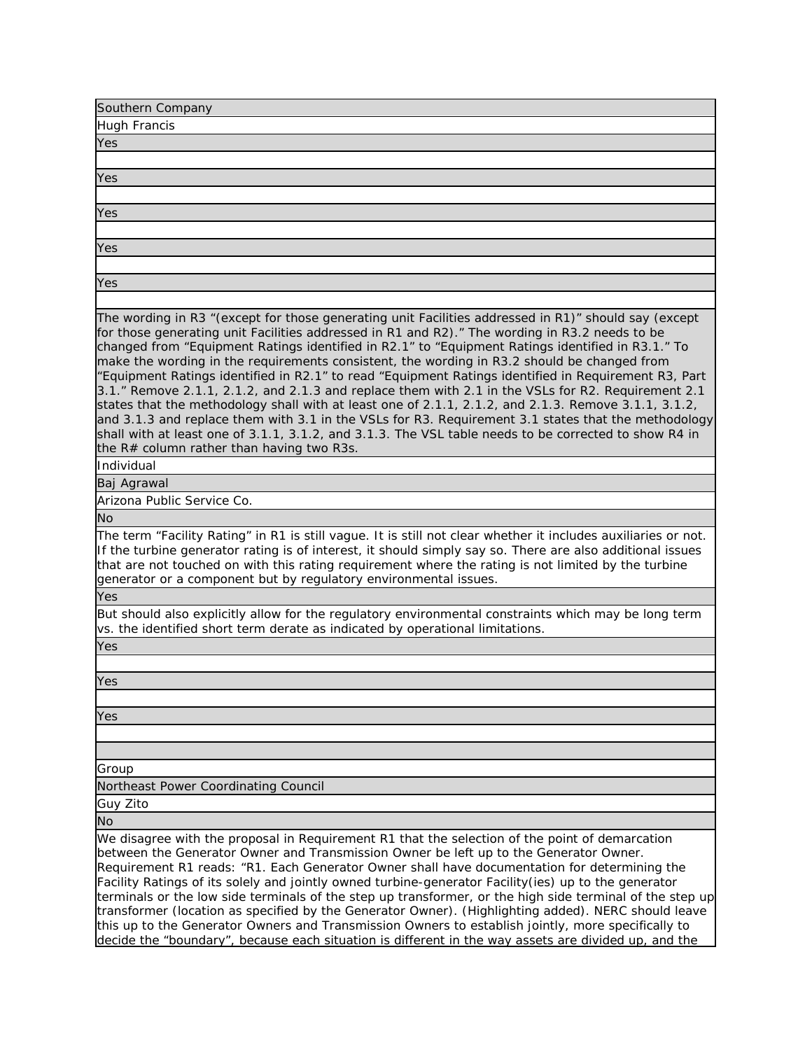| <b>Hugh Francis</b><br>Yes<br>Yes<br>Yes<br>Yes<br>Yes<br>The wording in R3 "(except for those generating unit Facilities addressed in R1)" should say (except<br>for those generating unit Facilities addressed in R1 and R2)." The wording in R3.2 needs to be<br>changed from "Equipment Ratings identified in R2.1" to "Equipment Ratings identified in R3.1." To<br>make the wording in the requirements consistent, the wording in R3.2 should be changed from<br>"Equipment Ratings identified in R2.1" to read "Equipment Ratings identified in Requirement R3, Part<br>3.1." Remove 2.1.1, 2.1.2, and 2.1.3 and replace them with 2.1 in the VSLs for R2. Requirement 2.1<br>states that the methodology shall with at least one of 2.1.1, 2.1.2, and 2.1.3. Remove 3.1.1, 3.1.2,<br>and 3.1.3 and replace them with 3.1 in the VSLs for R3. Requirement 3.1 states that the methodology<br>shall with at least one of 3.1.1, 3.1.2, and 3.1.3. The VSL table needs to be corrected to show R4 in<br>the R# column rather than having two R3s.<br>Individual<br>Baj Agrawal<br>Arizona Public Service Co.<br>No<br>The term "Facility Rating" in R1 is still vague. It is still not clear whether it includes auxiliaries or not.<br>If the turbine generator rating is of interest, it should simply say so. There are also additional issues<br>that are not touched on with this rating requirement where the rating is not limited by the turbine<br>generator or a component but by regulatory environmental issues.<br>Yes<br>But should also explicitly allow for the regulatory environmental constraints which may be long term<br>vs. the identified short term derate as indicated by operational limitations.<br>Yes |
|-------------------------------------------------------------------------------------------------------------------------------------------------------------------------------------------------------------------------------------------------------------------------------------------------------------------------------------------------------------------------------------------------------------------------------------------------------------------------------------------------------------------------------------------------------------------------------------------------------------------------------------------------------------------------------------------------------------------------------------------------------------------------------------------------------------------------------------------------------------------------------------------------------------------------------------------------------------------------------------------------------------------------------------------------------------------------------------------------------------------------------------------------------------------------------------------------------------------------------------------------------------------------------------------------------------------------------------------------------------------------------------------------------------------------------------------------------------------------------------------------------------------------------------------------------------------------------------------------------------------------------------------------------------------------------------------------------------------------------------------|
|                                                                                                                                                                                                                                                                                                                                                                                                                                                                                                                                                                                                                                                                                                                                                                                                                                                                                                                                                                                                                                                                                                                                                                                                                                                                                                                                                                                                                                                                                                                                                                                                                                                                                                                                           |
|                                                                                                                                                                                                                                                                                                                                                                                                                                                                                                                                                                                                                                                                                                                                                                                                                                                                                                                                                                                                                                                                                                                                                                                                                                                                                                                                                                                                                                                                                                                                                                                                                                                                                                                                           |
|                                                                                                                                                                                                                                                                                                                                                                                                                                                                                                                                                                                                                                                                                                                                                                                                                                                                                                                                                                                                                                                                                                                                                                                                                                                                                                                                                                                                                                                                                                                                                                                                                                                                                                                                           |
|                                                                                                                                                                                                                                                                                                                                                                                                                                                                                                                                                                                                                                                                                                                                                                                                                                                                                                                                                                                                                                                                                                                                                                                                                                                                                                                                                                                                                                                                                                                                                                                                                                                                                                                                           |
|                                                                                                                                                                                                                                                                                                                                                                                                                                                                                                                                                                                                                                                                                                                                                                                                                                                                                                                                                                                                                                                                                                                                                                                                                                                                                                                                                                                                                                                                                                                                                                                                                                                                                                                                           |
|                                                                                                                                                                                                                                                                                                                                                                                                                                                                                                                                                                                                                                                                                                                                                                                                                                                                                                                                                                                                                                                                                                                                                                                                                                                                                                                                                                                                                                                                                                                                                                                                                                                                                                                                           |
|                                                                                                                                                                                                                                                                                                                                                                                                                                                                                                                                                                                                                                                                                                                                                                                                                                                                                                                                                                                                                                                                                                                                                                                                                                                                                                                                                                                                                                                                                                                                                                                                                                                                                                                                           |
|                                                                                                                                                                                                                                                                                                                                                                                                                                                                                                                                                                                                                                                                                                                                                                                                                                                                                                                                                                                                                                                                                                                                                                                                                                                                                                                                                                                                                                                                                                                                                                                                                                                                                                                                           |
|                                                                                                                                                                                                                                                                                                                                                                                                                                                                                                                                                                                                                                                                                                                                                                                                                                                                                                                                                                                                                                                                                                                                                                                                                                                                                                                                                                                                                                                                                                                                                                                                                                                                                                                                           |
|                                                                                                                                                                                                                                                                                                                                                                                                                                                                                                                                                                                                                                                                                                                                                                                                                                                                                                                                                                                                                                                                                                                                                                                                                                                                                                                                                                                                                                                                                                                                                                                                                                                                                                                                           |
|                                                                                                                                                                                                                                                                                                                                                                                                                                                                                                                                                                                                                                                                                                                                                                                                                                                                                                                                                                                                                                                                                                                                                                                                                                                                                                                                                                                                                                                                                                                                                                                                                                                                                                                                           |
|                                                                                                                                                                                                                                                                                                                                                                                                                                                                                                                                                                                                                                                                                                                                                                                                                                                                                                                                                                                                                                                                                                                                                                                                                                                                                                                                                                                                                                                                                                                                                                                                                                                                                                                                           |
|                                                                                                                                                                                                                                                                                                                                                                                                                                                                                                                                                                                                                                                                                                                                                                                                                                                                                                                                                                                                                                                                                                                                                                                                                                                                                                                                                                                                                                                                                                                                                                                                                                                                                                                                           |
|                                                                                                                                                                                                                                                                                                                                                                                                                                                                                                                                                                                                                                                                                                                                                                                                                                                                                                                                                                                                                                                                                                                                                                                                                                                                                                                                                                                                                                                                                                                                                                                                                                                                                                                                           |
|                                                                                                                                                                                                                                                                                                                                                                                                                                                                                                                                                                                                                                                                                                                                                                                                                                                                                                                                                                                                                                                                                                                                                                                                                                                                                                                                                                                                                                                                                                                                                                                                                                                                                                                                           |
|                                                                                                                                                                                                                                                                                                                                                                                                                                                                                                                                                                                                                                                                                                                                                                                                                                                                                                                                                                                                                                                                                                                                                                                                                                                                                                                                                                                                                                                                                                                                                                                                                                                                                                                                           |
|                                                                                                                                                                                                                                                                                                                                                                                                                                                                                                                                                                                                                                                                                                                                                                                                                                                                                                                                                                                                                                                                                                                                                                                                                                                                                                                                                                                                                                                                                                                                                                                                                                                                                                                                           |
|                                                                                                                                                                                                                                                                                                                                                                                                                                                                                                                                                                                                                                                                                                                                                                                                                                                                                                                                                                                                                                                                                                                                                                                                                                                                                                                                                                                                                                                                                                                                                                                                                                                                                                                                           |
|                                                                                                                                                                                                                                                                                                                                                                                                                                                                                                                                                                                                                                                                                                                                                                                                                                                                                                                                                                                                                                                                                                                                                                                                                                                                                                                                                                                                                                                                                                                                                                                                                                                                                                                                           |
|                                                                                                                                                                                                                                                                                                                                                                                                                                                                                                                                                                                                                                                                                                                                                                                                                                                                                                                                                                                                                                                                                                                                                                                                                                                                                                                                                                                                                                                                                                                                                                                                                                                                                                                                           |
|                                                                                                                                                                                                                                                                                                                                                                                                                                                                                                                                                                                                                                                                                                                                                                                                                                                                                                                                                                                                                                                                                                                                                                                                                                                                                                                                                                                                                                                                                                                                                                                                                                                                                                                                           |
|                                                                                                                                                                                                                                                                                                                                                                                                                                                                                                                                                                                                                                                                                                                                                                                                                                                                                                                                                                                                                                                                                                                                                                                                                                                                                                                                                                                                                                                                                                                                                                                                                                                                                                                                           |
|                                                                                                                                                                                                                                                                                                                                                                                                                                                                                                                                                                                                                                                                                                                                                                                                                                                                                                                                                                                                                                                                                                                                                                                                                                                                                                                                                                                                                                                                                                                                                                                                                                                                                                                                           |
| Yes                                                                                                                                                                                                                                                                                                                                                                                                                                                                                                                                                                                                                                                                                                                                                                                                                                                                                                                                                                                                                                                                                                                                                                                                                                                                                                                                                                                                                                                                                                                                                                                                                                                                                                                                       |
|                                                                                                                                                                                                                                                                                                                                                                                                                                                                                                                                                                                                                                                                                                                                                                                                                                                                                                                                                                                                                                                                                                                                                                                                                                                                                                                                                                                                                                                                                                                                                                                                                                                                                                                                           |
| Yes                                                                                                                                                                                                                                                                                                                                                                                                                                                                                                                                                                                                                                                                                                                                                                                                                                                                                                                                                                                                                                                                                                                                                                                                                                                                                                                                                                                                                                                                                                                                                                                                                                                                                                                                       |
|                                                                                                                                                                                                                                                                                                                                                                                                                                                                                                                                                                                                                                                                                                                                                                                                                                                                                                                                                                                                                                                                                                                                                                                                                                                                                                                                                                                                                                                                                                                                                                                                                                                                                                                                           |
|                                                                                                                                                                                                                                                                                                                                                                                                                                                                                                                                                                                                                                                                                                                                                                                                                                                                                                                                                                                                                                                                                                                                                                                                                                                                                                                                                                                                                                                                                                                                                                                                                                                                                                                                           |
| Group                                                                                                                                                                                                                                                                                                                                                                                                                                                                                                                                                                                                                                                                                                                                                                                                                                                                                                                                                                                                                                                                                                                                                                                                                                                                                                                                                                                                                                                                                                                                                                                                                                                                                                                                     |
| Northeast Power Coordinating Council                                                                                                                                                                                                                                                                                                                                                                                                                                                                                                                                                                                                                                                                                                                                                                                                                                                                                                                                                                                                                                                                                                                                                                                                                                                                                                                                                                                                                                                                                                                                                                                                                                                                                                      |
|                                                                                                                                                                                                                                                                                                                                                                                                                                                                                                                                                                                                                                                                                                                                                                                                                                                                                                                                                                                                                                                                                                                                                                                                                                                                                                                                                                                                                                                                                                                                                                                                                                                                                                                                           |
| Guy Zito                                                                                                                                                                                                                                                                                                                                                                                                                                                                                                                                                                                                                                                                                                                                                                                                                                                                                                                                                                                                                                                                                                                                                                                                                                                                                                                                                                                                                                                                                                                                                                                                                                                                                                                                  |
| No                                                                                                                                                                                                                                                                                                                                                                                                                                                                                                                                                                                                                                                                                                                                                                                                                                                                                                                                                                                                                                                                                                                                                                                                                                                                                                                                                                                                                                                                                                                                                                                                                                                                                                                                        |
| We disagree with the proposal in Requirement R1 that the selection of the point of demarcation<br>between the Generator Owner and Transmission Owner be left up to the Generator Owner.<br>Requirement R1 reads: "R1. Each Generator Owner shall have documentation for determining the<br>Facility Ratings of its solely and jointly owned turbine-generator Facility(ies) up to the generator<br>terminals or the low side terminals of the step up transformer, or the high side terminal of the step up<br>transformer (location as specified by the Generator Owner). (Highlighting added). NERC should leave<br>this up to the Generator Owners and Transmission Owners to establish jointly, more specifically to<br>decide the "boundary", because each situation is different in the way assets are divided up, and the                                                                                                                                                                                                                                                                                                                                                                                                                                                                                                                                                                                                                                                                                                                                                                                                                                                                                                          |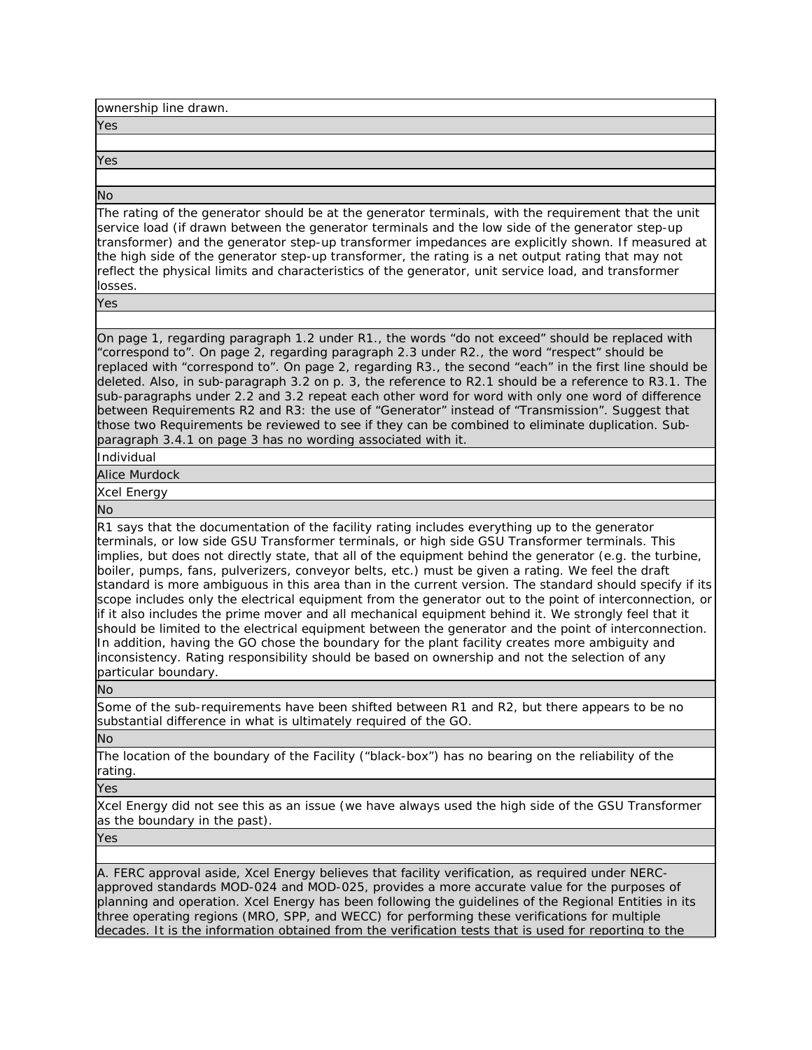| ownership line drawn.                                                                                                                                                                                                                                                                                                                                                                                                                                                                                                                                                                                                                                                                                                                                                                        |
|----------------------------------------------------------------------------------------------------------------------------------------------------------------------------------------------------------------------------------------------------------------------------------------------------------------------------------------------------------------------------------------------------------------------------------------------------------------------------------------------------------------------------------------------------------------------------------------------------------------------------------------------------------------------------------------------------------------------------------------------------------------------------------------------|
| Yes                                                                                                                                                                                                                                                                                                                                                                                                                                                                                                                                                                                                                                                                                                                                                                                          |
|                                                                                                                                                                                                                                                                                                                                                                                                                                                                                                                                                                                                                                                                                                                                                                                              |
| Yes                                                                                                                                                                                                                                                                                                                                                                                                                                                                                                                                                                                                                                                                                                                                                                                          |
|                                                                                                                                                                                                                                                                                                                                                                                                                                                                                                                                                                                                                                                                                                                                                                                              |
| <b>No</b>                                                                                                                                                                                                                                                                                                                                                                                                                                                                                                                                                                                                                                                                                                                                                                                    |
| The rating of the generator should be at the generator terminals, with the requirement that the unit<br>service load (if drawn between the generator terminals and the low side of the generator step-up<br>transformer) and the generator step-up transformer impedances are explicitly shown. If measured at<br>the high side of the generator step-up transformer, the rating is a net output rating that may not<br>reflect the physical limits and characteristics of the generator, unit service load, and transformer<br>losses.                                                                                                                                                                                                                                                      |
| Yes                                                                                                                                                                                                                                                                                                                                                                                                                                                                                                                                                                                                                                                                                                                                                                                          |
|                                                                                                                                                                                                                                                                                                                                                                                                                                                                                                                                                                                                                                                                                                                                                                                              |
| On page 1, regarding paragraph 1.2 under R1., the words "do not exceed" should be replaced with<br>"correspond to". On page 2, regarding paragraph 2.3 under R2., the word "respect" should be<br>replaced with "correspond to". On page 2, regarding R3., the second "each" in the first line should be<br>deleted. Also, in sub-paragraph 3.2 on p. 3, the reference to R2.1 should be a reference to R3.1. The<br>sub-paragraphs under 2.2 and 3.2 repeat each other word for word with only one word of difference<br>between Requirements R2 and R3: the use of "Generator" instead of "Transmission". Suggest that<br>those two Requirements be reviewed to see if they can be combined to eliminate duplication. Sub-<br>paragraph 3.4.1 on page 3 has no wording associated with it. |
| Individual                                                                                                                                                                                                                                                                                                                                                                                                                                                                                                                                                                                                                                                                                                                                                                                   |
| <b>Alice Murdock</b>                                                                                                                                                                                                                                                                                                                                                                                                                                                                                                                                                                                                                                                                                                                                                                         |
| <b>Xcel Energy</b>                                                                                                                                                                                                                                                                                                                                                                                                                                                                                                                                                                                                                                                                                                                                                                           |
| <b>No</b>                                                                                                                                                                                                                                                                                                                                                                                                                                                                                                                                                                                                                                                                                                                                                                                    |
| R1 says that the documentation of the facility rating includes everything up to the generator<br>terminals, or low side GSU Transformer terminals, or high side GSU Transformer terminals. This<br>implies, but does not directly state, that all of the equipment behind the generator (e.g. the turbine,<br>$\mathbf{u}$ , and the state of the state of the state of the state of the state of the state of the state of the state of the state of the state of the state of the state of the state of the state of the state of the state o                                                                                                                                                                                                                                              |

boiler, pumps, fans, pulverizers, conveyor belts, etc.) must be given a rating. We feel the draft standard is more ambiguous in this area than in the current version. The standard should specify if its scope includes only the electrical equipment from the generator out to the point of interconnection, or if it also includes the prime mover and all mechanical equipment behind it. We strongly feel that it should be limited to the electrical equipment between the generator and the point of interconnection. In addition, having the GO chose the boundary for the plant facility creates more ambiguity and inconsistency. Rating responsibility should be based on ownership and not the selection of any particular boundary.

No

Some of the sub-requirements have been shifted between R1 and R2, but there appears to be no substantial difference in what is ultimately required of the GO.

No

The location of the boundary of the Facility ("black-box") has no bearing on the reliability of the rating.

Yes

Xcel Energy did not see this as an issue (we have always used the high side of the GSU Transformer as the boundary in the past).

Yes

A. FERC approval aside, Xcel Energy believes that facility verification, as required under NERCapproved standards MOD-024 and MOD-025, provides a more accurate value for the purposes of planning and operation. Xcel Energy has been following the guidelines of the Regional Entities in its three operating regions (MRO, SPP, and WECC) for performing these verifications for multiple decades. It is the information obtained from the verification tests that is used for reporting to the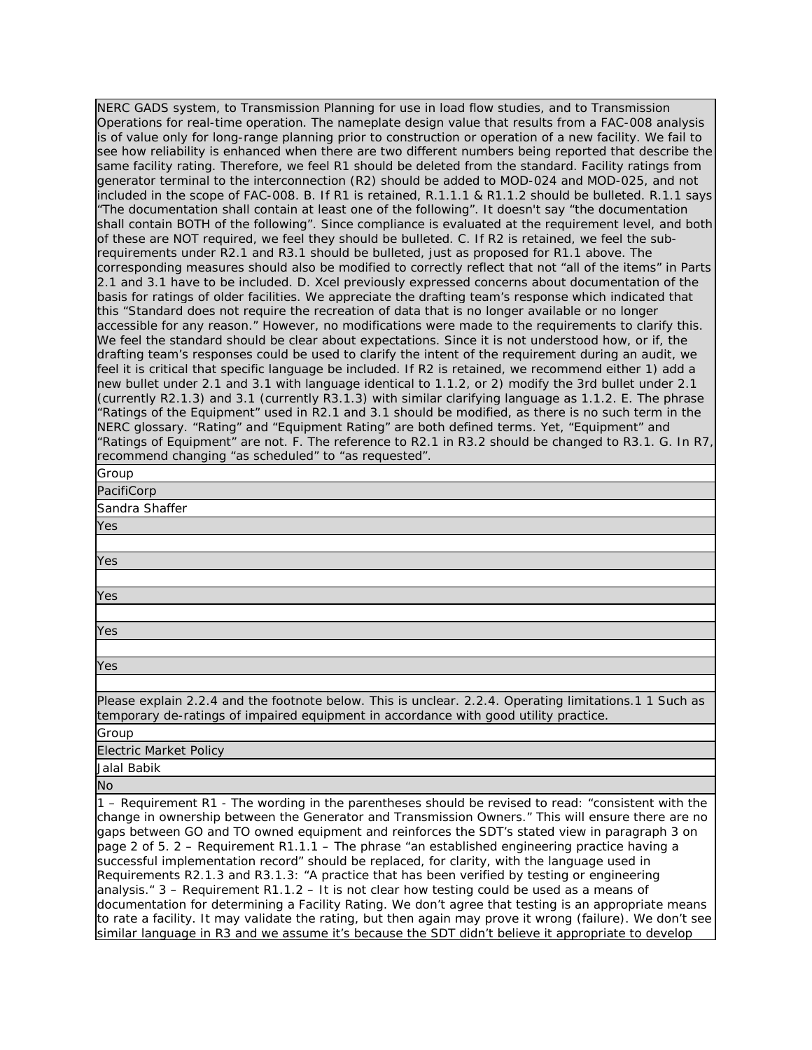| NERC GADS system, to Transmission Planning for use in load flow studies, and to Transmission<br>Operations for real-time operation. The nameplate design value that results from a FAC-008 analysis<br>is of value only for long-range planning prior to construction or operation of a new facility. We fail to<br>see how reliability is enhanced when there are two different numbers being reported that describe the<br>same facility rating. Therefore, we feel R1 should be deleted from the standard. Facility ratings from<br>generator terminal to the interconnection (R2) should be added to MOD-024 and MOD-025, and not<br>included in the scope of FAC-008. B. If R1 is retained, R.1.1.1 & R1.1.2 should be bulleted. R.1.1 says<br>"The documentation shall contain at least one of the following". It doesn't say "the documentation<br>shall contain BOTH of the following". Since compliance is evaluated at the requirement level, and both<br>of these are NOT required, we feel they should be bulleted. C. If R2 is retained, we feel the sub-<br>requirements under R2.1 and R3.1 should be bulleted, just as proposed for R1.1 above. The<br>corresponding measures should also be modified to correctly reflect that not "all of the items" in Parts<br>2.1 and 3.1 have to be included. D. Xcel previously expressed concerns about documentation of the<br>basis for ratings of older facilities. We appreciate the drafting team's response which indicated that<br>this "Standard does not require the recreation of data that is no longer available or no longer<br>accessible for any reason." However, no modifications were made to the requirements to clarify this.<br>We feel the standard should be clear about expectations. Since it is not understood how, or if, the<br>drafting team's responses could be used to clarify the intent of the requirement during an audit, we<br>feel it is critical that specific language be included. If R2 is retained, we recommend either 1) add a<br>new bullet under 2.1 and 3.1 with language identical to 1.1.2, or 2) modify the 3rd bullet under 2.1<br>(currently R2.1.3) and 3.1 (currently R3.1.3) with similar clarifying language as 1.1.2. E. The phrase<br>"Ratings of the Equipment" used in R2.1 and 3.1 should be modified, as there is no such term in the<br>NERC glossary. "Rating" and "Equipment Rating" are both defined terms. Yet, "Equipment" and<br>"Ratings of Equipment" are not. F. The reference to R2.1 in R3.2 should be changed to R3.1. G. In R7,<br>recommend changing "as scheduled" to "as requested". |
|------------------------------------------------------------------------------------------------------------------------------------------------------------------------------------------------------------------------------------------------------------------------------------------------------------------------------------------------------------------------------------------------------------------------------------------------------------------------------------------------------------------------------------------------------------------------------------------------------------------------------------------------------------------------------------------------------------------------------------------------------------------------------------------------------------------------------------------------------------------------------------------------------------------------------------------------------------------------------------------------------------------------------------------------------------------------------------------------------------------------------------------------------------------------------------------------------------------------------------------------------------------------------------------------------------------------------------------------------------------------------------------------------------------------------------------------------------------------------------------------------------------------------------------------------------------------------------------------------------------------------------------------------------------------------------------------------------------------------------------------------------------------------------------------------------------------------------------------------------------------------------------------------------------------------------------------------------------------------------------------------------------------------------------------------------------------------------------------------------------------------------------------------------------------------------------------------------------------------------------------------------------------------------------------------------------------------------------------------------------------------------------------------------------------------------------------------------------------------------------------------------------------------------------------------------------------------------------------------------------------------|
| Group                                                                                                                                                                                                                                                                                                                                                                                                                                                                                                                                                                                                                                                                                                                                                                                                                                                                                                                                                                                                                                                                                                                                                                                                                                                                                                                                                                                                                                                                                                                                                                                                                                                                                                                                                                                                                                                                                                                                                                                                                                                                                                                                                                                                                                                                                                                                                                                                                                                                                                                                                                                                                        |
| PacifiCorp                                                                                                                                                                                                                                                                                                                                                                                                                                                                                                                                                                                                                                                                                                                                                                                                                                                                                                                                                                                                                                                                                                                                                                                                                                                                                                                                                                                                                                                                                                                                                                                                                                                                                                                                                                                                                                                                                                                                                                                                                                                                                                                                                                                                                                                                                                                                                                                                                                                                                                                                                                                                                   |
| Sandra Shaffer                                                                                                                                                                                                                                                                                                                                                                                                                                                                                                                                                                                                                                                                                                                                                                                                                                                                                                                                                                                                                                                                                                                                                                                                                                                                                                                                                                                                                                                                                                                                                                                                                                                                                                                                                                                                                                                                                                                                                                                                                                                                                                                                                                                                                                                                                                                                                                                                                                                                                                                                                                                                               |
| Yes                                                                                                                                                                                                                                                                                                                                                                                                                                                                                                                                                                                                                                                                                                                                                                                                                                                                                                                                                                                                                                                                                                                                                                                                                                                                                                                                                                                                                                                                                                                                                                                                                                                                                                                                                                                                                                                                                                                                                                                                                                                                                                                                                                                                                                                                                                                                                                                                                                                                                                                                                                                                                          |
|                                                                                                                                                                                                                                                                                                                                                                                                                                                                                                                                                                                                                                                                                                                                                                                                                                                                                                                                                                                                                                                                                                                                                                                                                                                                                                                                                                                                                                                                                                                                                                                                                                                                                                                                                                                                                                                                                                                                                                                                                                                                                                                                                                                                                                                                                                                                                                                                                                                                                                                                                                                                                              |
| Yes                                                                                                                                                                                                                                                                                                                                                                                                                                                                                                                                                                                                                                                                                                                                                                                                                                                                                                                                                                                                                                                                                                                                                                                                                                                                                                                                                                                                                                                                                                                                                                                                                                                                                                                                                                                                                                                                                                                                                                                                                                                                                                                                                                                                                                                                                                                                                                                                                                                                                                                                                                                                                          |
|                                                                                                                                                                                                                                                                                                                                                                                                                                                                                                                                                                                                                                                                                                                                                                                                                                                                                                                                                                                                                                                                                                                                                                                                                                                                                                                                                                                                                                                                                                                                                                                                                                                                                                                                                                                                                                                                                                                                                                                                                                                                                                                                                                                                                                                                                                                                                                                                                                                                                                                                                                                                                              |
|                                                                                                                                                                                                                                                                                                                                                                                                                                                                                                                                                                                                                                                                                                                                                                                                                                                                                                                                                                                                                                                                                                                                                                                                                                                                                                                                                                                                                                                                                                                                                                                                                                                                                                                                                                                                                                                                                                                                                                                                                                                                                                                                                                                                                                                                                                                                                                                                                                                                                                                                                                                                                              |
| Yes                                                                                                                                                                                                                                                                                                                                                                                                                                                                                                                                                                                                                                                                                                                                                                                                                                                                                                                                                                                                                                                                                                                                                                                                                                                                                                                                                                                                                                                                                                                                                                                                                                                                                                                                                                                                                                                                                                                                                                                                                                                                                                                                                                                                                                                                                                                                                                                                                                                                                                                                                                                                                          |
|                                                                                                                                                                                                                                                                                                                                                                                                                                                                                                                                                                                                                                                                                                                                                                                                                                                                                                                                                                                                                                                                                                                                                                                                                                                                                                                                                                                                                                                                                                                                                                                                                                                                                                                                                                                                                                                                                                                                                                                                                                                                                                                                                                                                                                                                                                                                                                                                                                                                                                                                                                                                                              |
| Yes                                                                                                                                                                                                                                                                                                                                                                                                                                                                                                                                                                                                                                                                                                                                                                                                                                                                                                                                                                                                                                                                                                                                                                                                                                                                                                                                                                                                                                                                                                                                                                                                                                                                                                                                                                                                                                                                                                                                                                                                                                                                                                                                                                                                                                                                                                                                                                                                                                                                                                                                                                                                                          |
|                                                                                                                                                                                                                                                                                                                                                                                                                                                                                                                                                                                                                                                                                                                                                                                                                                                                                                                                                                                                                                                                                                                                                                                                                                                                                                                                                                                                                                                                                                                                                                                                                                                                                                                                                                                                                                                                                                                                                                                                                                                                                                                                                                                                                                                                                                                                                                                                                                                                                                                                                                                                                              |
| Yes                                                                                                                                                                                                                                                                                                                                                                                                                                                                                                                                                                                                                                                                                                                                                                                                                                                                                                                                                                                                                                                                                                                                                                                                                                                                                                                                                                                                                                                                                                                                                                                                                                                                                                                                                                                                                                                                                                                                                                                                                                                                                                                                                                                                                                                                                                                                                                                                                                                                                                                                                                                                                          |
|                                                                                                                                                                                                                                                                                                                                                                                                                                                                                                                                                                                                                                                                                                                                                                                                                                                                                                                                                                                                                                                                                                                                                                                                                                                                                                                                                                                                                                                                                                                                                                                                                                                                                                                                                                                                                                                                                                                                                                                                                                                                                                                                                                                                                                                                                                                                                                                                                                                                                                                                                                                                                              |
| Please explain 2.2.4 and the footnote below. This is unclear. 2.2.4. Operating limitations.1 1 Such as<br>temporary de-ratings of impaired equipment in accordance with good utility practice.                                                                                                                                                                                                                                                                                                                                                                                                                                                                                                                                                                                                                                                                                                                                                                                                                                                                                                                                                                                                                                                                                                                                                                                                                                                                                                                                                                                                                                                                                                                                                                                                                                                                                                                                                                                                                                                                                                                                                                                                                                                                                                                                                                                                                                                                                                                                                                                                                               |
| Group                                                                                                                                                                                                                                                                                                                                                                                                                                                                                                                                                                                                                                                                                                                                                                                                                                                                                                                                                                                                                                                                                                                                                                                                                                                                                                                                                                                                                                                                                                                                                                                                                                                                                                                                                                                                                                                                                                                                                                                                                                                                                                                                                                                                                                                                                                                                                                                                                                                                                                                                                                                                                        |
| <b>Electric Market Policy</b>                                                                                                                                                                                                                                                                                                                                                                                                                                                                                                                                                                                                                                                                                                                                                                                                                                                                                                                                                                                                                                                                                                                                                                                                                                                                                                                                                                                                                                                                                                                                                                                                                                                                                                                                                                                                                                                                                                                                                                                                                                                                                                                                                                                                                                                                                                                                                                                                                                                                                                                                                                                                |
| Jalal Babik                                                                                                                                                                                                                                                                                                                                                                                                                                                                                                                                                                                                                                                                                                                                                                                                                                                                                                                                                                                                                                                                                                                                                                                                                                                                                                                                                                                                                                                                                                                                                                                                                                                                                                                                                                                                                                                                                                                                                                                                                                                                                                                                                                                                                                                                                                                                                                                                                                                                                                                                                                                                                  |
| <b>No</b>                                                                                                                                                                                                                                                                                                                                                                                                                                                                                                                                                                                                                                                                                                                                                                                                                                                                                                                                                                                                                                                                                                                                                                                                                                                                                                                                                                                                                                                                                                                                                                                                                                                                                                                                                                                                                                                                                                                                                                                                                                                                                                                                                                                                                                                                                                                                                                                                                                                                                                                                                                                                                    |
| 1 - Requirement R1 - The wording in the parentheses should be revised to read: "consistent with the<br>change in ownership between the Generator and Transmission Owners." This will ensure there are no<br>gaps between GO and TO owned equipment and reinforces the SDT's stated view in paragraph 3 on<br>page 2 of 5. 2 - Requirement R1.1.1 - The phrase "an established engineering practice having a<br>successful implementation record" should be replaced, for clarity, with the language used in<br>Requirements R2.1.3 and R3.1.3: "A practice that has been verified by testing or engineering<br>analysis. " 3 - Requirement R1.1.2 - It is not clear how testing could be used as a means of<br>documentation for determining a Facility Rating. We don't agree that testing is an appropriate means<br>to rate a facility. It may validate the rating, but then again may prove it wrong (failure). We don't see                                                                                                                                                                                                                                                                                                                                                                                                                                                                                                                                                                                                                                                                                                                                                                                                                                                                                                                                                                                                                                                                                                                                                                                                                                                                                                                                                                                                                                                                                                                                                                                                                                                                                             |

similar language in R3 and we assume it's because the SDT didn't believe it appropriate to develop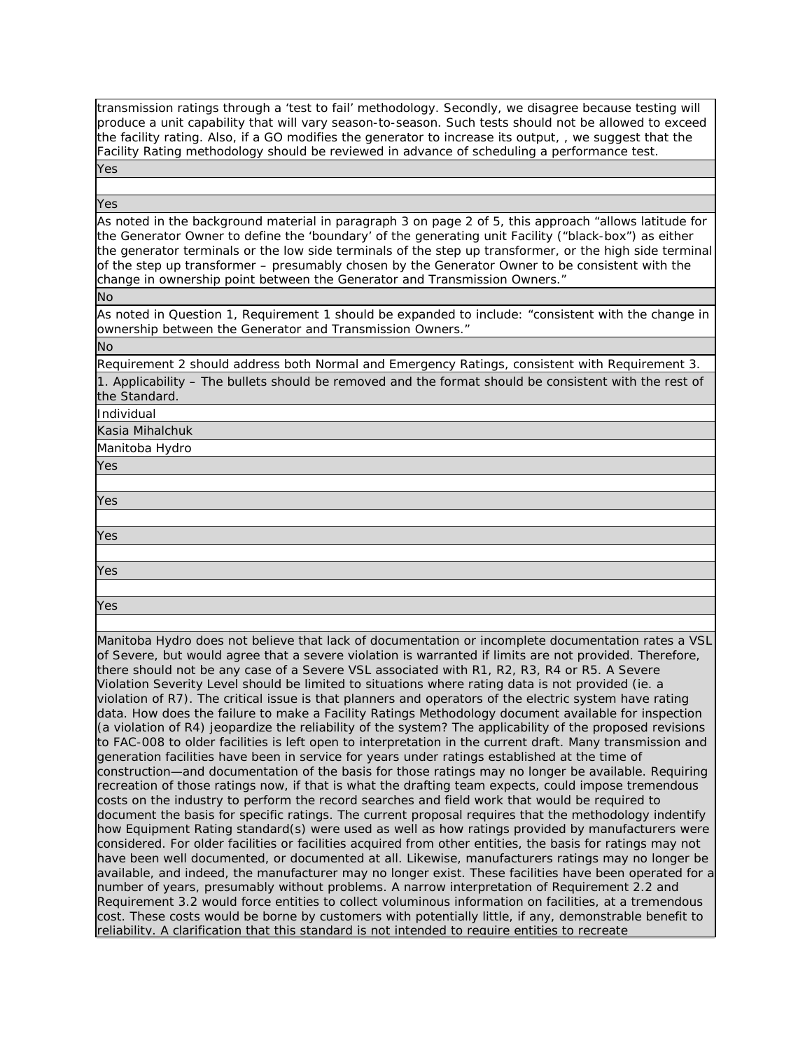transmission ratings through a 'test to fail' methodology. Secondly, we disagree because testing will produce a unit capability that will vary season-to-season. Such tests should not be allowed to exceed the facility rating. Also, if a GO modifies the generator to increase its output, , we suggest that the Facility Rating methodology should be reviewed in advance of scheduling a performance test.

Yes

Yes

As noted in the background material in paragraph 3 on page 2 of 5, this approach "allows latitude for the Generator Owner to define the 'boundary' of the generating unit Facility ("black-box") as either the generator terminals or the low side terminals of the step up transformer, or the high side terminal of the step up transformer – presumably chosen by the Generator Owner to be consistent with the change in ownership point between the Generator and Transmission Owners."

No

As noted in Question 1, Requirement 1 should be expanded to include: "consistent with the change in ownership between the Generator and Transmission Owners."

No

Requirement 2 should address both Normal and Emergency Ratings, consistent with Requirement 3. 1. Applicability – The bullets should be removed and the format should be consistent with the rest of the Standard.

Individual

Kasia Mihalchuk

Manitoba Hydro

Yes

Yes

Yes

Yes

Yes

Manitoba Hydro does not believe that lack of documentation or incomplete documentation rates a VSL of Severe, but would agree that a severe violation is warranted if limits are not provided. Therefore, there should not be any case of a Severe VSL associated with R1, R2, R3, R4 or R5. A Severe Violation Severity Level should be limited to situations where rating data is not provided (ie. a violation of R7). The critical issue is that planners and operators of the electric system have rating data. How does the failure to make a Facility Ratings Methodology document available for inspection (a violation of R4) jeopardize the reliability of the system? The applicability of the proposed revisions to FAC-008 to older facilities is left open to interpretation in the current draft. Many transmission and generation facilities have been in service for years under ratings established at the time of construction—and documentation of the basis for those ratings may no longer be available. Requiring recreation of those ratings now, if that is what the drafting team expects, could impose tremendous costs on the industry to perform the record searches and field work that would be required to document the basis for specific ratings. The current proposal requires that the methodology indentify how Equipment Rating standard(s) were used as well as how ratings provided by manufacturers were considered. For older facilities or facilities acquired from other entities, the basis for ratings may not have been well documented, or documented at all. Likewise, manufacturers ratings may no longer be available, and indeed, the manufacturer may no longer exist. These facilities have been operated for a number of years, presumably without problems. A narrow interpretation of Requirement 2.2 and Requirement 3.2 would force entities to collect voluminous information on facilities, at a tremendous cost. These costs would be borne by customers with potentially little, if any, demonstrable benefit to reliability. A clarification that this standard is not intended to require entities to recreate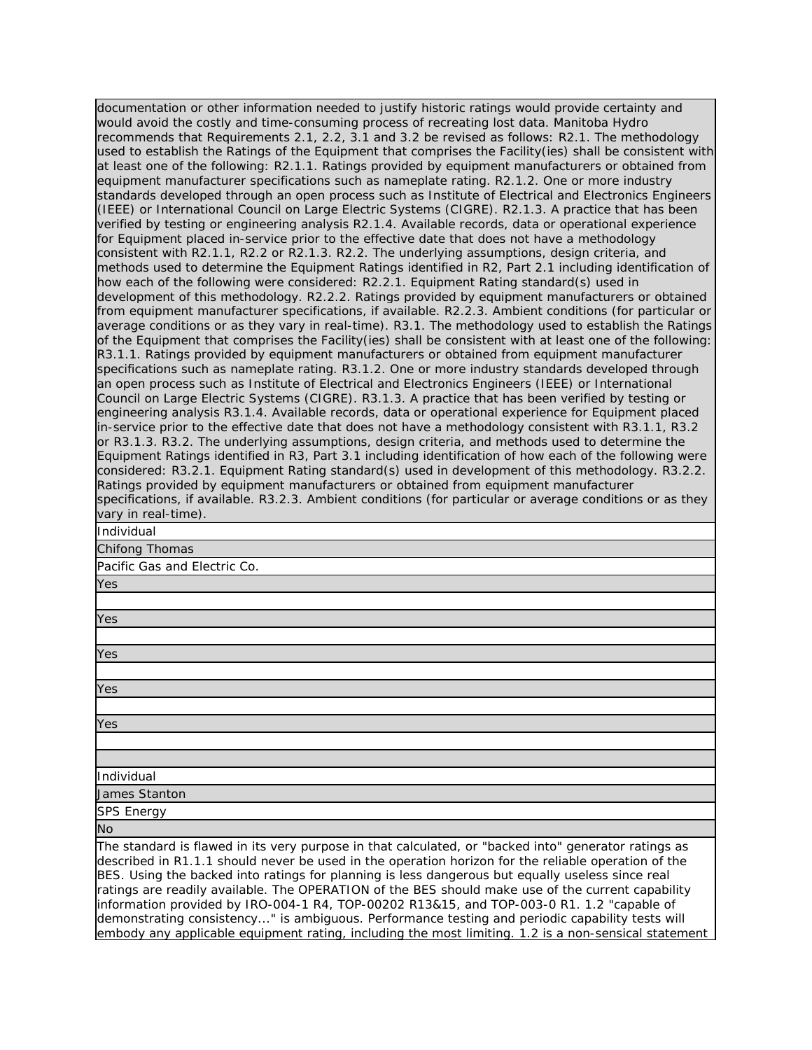documentation or other information needed to justify historic ratings would provide certainty and would avoid the costly and time-consuming process of recreating lost data. Manitoba Hydro recommends that Requirements 2.1, 2.2, 3.1 and 3.2 be revised as follows: R2.1. The methodology used to establish the Ratings of the Equipment that comprises the Facility(ies) shall be consistent with at least one of the following: R2.1.1. Ratings provided by equipment manufacturers or obtained from equipment manufacturer specifications such as nameplate rating. R2.1.2. One or more industry standards developed through an open process such as Institute of Electrical and Electronics Engineers (IEEE) or International Council on Large Electric Systems (CIGRE). R2.1.3. A practice that has been verified by testing or engineering analysis R2.1.4. Available records, data or operational experience for Equipment placed in-service prior to the effective date that does not have a methodology consistent with R2.1.1, R2.2 or R2.1.3. R2.2. The underlying assumptions, design criteria, and methods used to determine the Equipment Ratings identified in R2, Part 2.1 including identification of how each of the following were considered: R2.2.1. Equipment Rating standard(s) used in development of this methodology. R2.2.2. Ratings provided by equipment manufacturers or obtained from equipment manufacturer specifications, if available. R2.2.3. Ambient conditions (for particular or average conditions or as they vary in real-time). R3.1. The methodology used to establish the Ratings of the Equipment that comprises the Facility(ies) shall be consistent with at least one of the following: R3.1.1. Ratings provided by equipment manufacturers or obtained from equipment manufacturer specifications such as nameplate rating. R3.1.2. One or more industry standards developed through an open process such as Institute of Electrical and Electronics Engineers (IEEE) or International Council on Large Electric Systems (CIGRE). R3.1.3. A practice that has been verified by testing or engineering analysis R3.1.4. Available records, data or operational experience for Equipment placed in-service prior to the effective date that does not have a methodology consistent with R3.1.1, R3.2 or R3.1.3. R3.2. The underlying assumptions, design criteria, and methods used to determine the Equipment Ratings identified in R3, Part 3.1 including identification of how each of the following were considered: R3.2.1. Equipment Rating standard(s) used in development of this methodology. R3.2.2. Ratings provided by equipment manufacturers or obtained from equipment manufacturer specifications, if available. R3.2.3. Ambient conditions (for particular or average conditions or as they vary in real-time). Individual

# Chifong Thomas

Pacific Gas and Electric Co.

Yes

Yes

described in R1.1.1 should never be used in the operation horizon for the reliable operation of the BES. Using the backed into ratings for planning is less dangerous but equally useless since real ratings are readily available. The OPERATION of the BES should make use of the current capability information provided by IRO-004-1 R4, TOP-00202 R13&15, and TOP-003-0 R1. 1.2 "capable of demonstrating consistency..." is ambiguous. Performance testing and periodic capability tests will embody any applicable equipment rating, including the most limiting. 1.2 is a non-sensical statement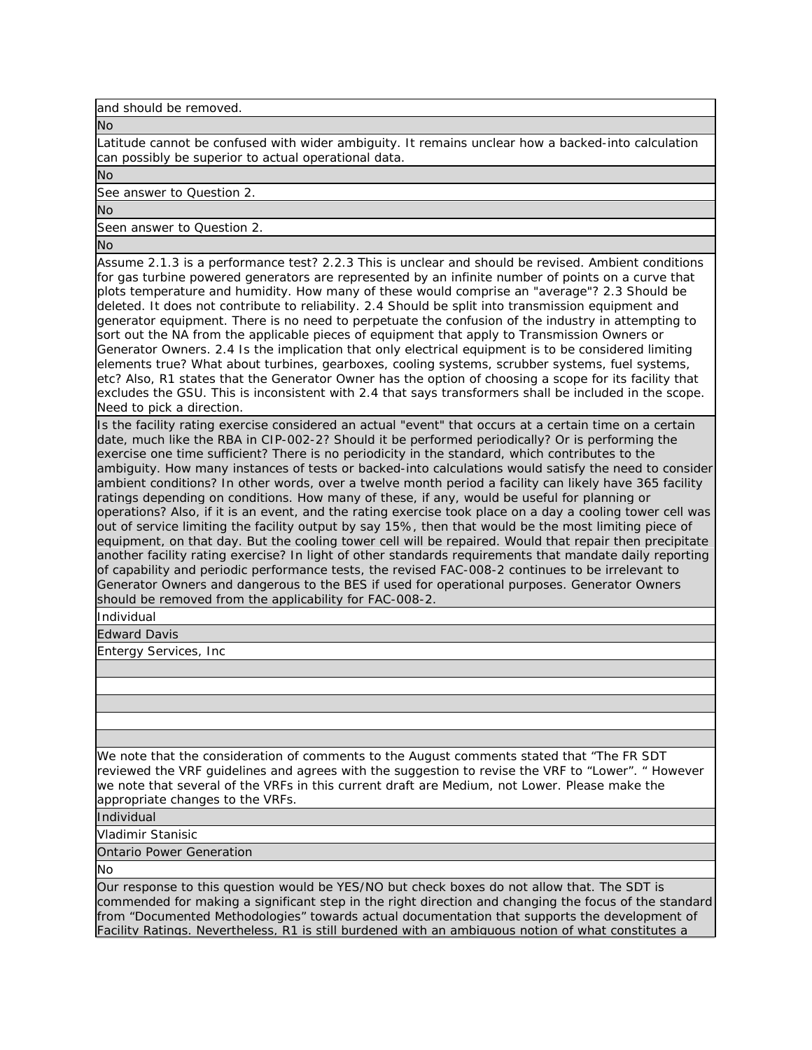and should be removed.

No

Latitude cannot be confused with wider ambiguity. It remains unclear how a backed-into calculation can possibly be superior to actual operational data.

No

See answer to Question 2.

No

Seen answer to Question 2.

No

Assume 2.1.3 is a performance test? 2.2.3 This is unclear and should be revised. Ambient conditions for gas turbine powered generators are represented by an infinite number of points on a curve that plots temperature and humidity. How many of these would comprise an "average"? 2.3 Should be deleted. It does not contribute to reliability. 2.4 Should be split into transmission equipment and generator equipment. There is no need to perpetuate the confusion of the industry in attempting to sort out the NA from the applicable pieces of equipment that apply to Transmission Owners or Generator Owners. 2.4 Is the implication that only electrical equipment is to be considered limiting elements true? What about turbines, gearboxes, cooling systems, scrubber systems, fuel systems, etc? Also, R1 states that the Generator Owner has the option of choosing a scope for its facility that excludes the GSU. This is inconsistent with 2.4 that says transformers shall be included in the scope. Need to pick a direction.

Is the facility rating exercise considered an actual "event" that occurs at a certain time on a certain date, much like the RBA in CIP-002-2? Should it be performed periodically? Or is performing the exercise one time sufficient? There is no periodicity in the standard, which contributes to the ambiguity. How many instances of tests or backed-into calculations would satisfy the need to consider ambient conditions? In other words, over a twelve month period a facility can likely have 365 facility ratings depending on conditions. How many of these, if any, would be useful for planning or operations? Also, if it is an event, and the rating exercise took place on a day a cooling tower cell was out of service limiting the facility output by say 15%, then that would be the most limiting piece of equipment, on that day. But the cooling tower cell will be repaired. Would that repair then precipitate another facility rating exercise? In light of other standards requirements that mandate daily reporting of capability and periodic performance tests, the revised FAC-008-2 continues to be irrelevant to Generator Owners and dangerous to the BES if used for operational purposes. Generator Owners should be removed from the applicability for FAC-008-2.

Individual

Edward Davis

Entergy Services, Inc

We note that the consideration of comments to the August comments stated that "The FR SDT reviewed the VRF guidelines and agrees with the suggestion to revise the VRF to "Lower". " However we note that several of the VRFs in this current draft are Medium, not Lower. Please make the appropriate changes to the VRFs.

Individual

Vladimir Stanisic

Ontario Power Generation

No

Our response to this question would be YES/NO but check boxes do not allow that. The SDT is commended for making a significant step in the right direction and changing the focus of the standard from "Documented Methodologies" towards actual documentation that supports the development of Facility Ratings. Nevertheless, R1 is still burdened with an ambiguous notion of what constitutes a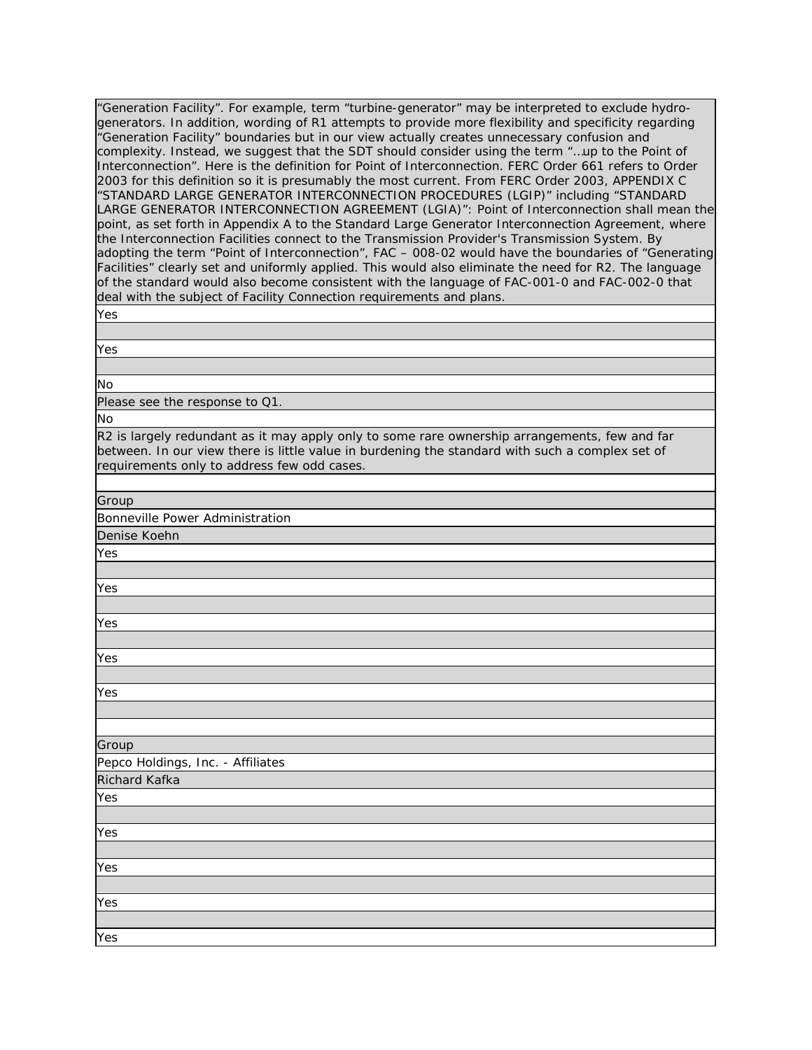"Generation Facility". For example, term "turbine-generator" may be interpreted to exclude hydrogenerators. In addition, wording of R1 attempts to provide more flexibility and specificity regarding "Generation Facility" boundaries but in our view actually creates unnecessary confusion and complexity. Instead, we suggest that the SDT should consider using the term "…up to the Point of Interconnection". Here is the definition for Point of Interconnection. FERC Order 661 refers to Order 2003 for this definition so it is presumably the most current. From FERC Order 2003, APPENDIX C "STANDARD LARGE GENERATOR INTERCONNECTION PROCEDURES (LGIP)" including "STANDARD LARGE GENERATOR INTERCONNECTION AGREEMENT (LGIA)": Point of Interconnection shall mean the point, as set forth in Appendix A to the Standard Large Generator Interconnection Agreement, where the Interconnection Facilities connect to the Transmission Provider's Transmission System. By adopting the term "Point of Interconnection", FAC – 008-02 would have the boundaries of "Generating Facilities" clearly set and uniformly applied. This would also eliminate the need for R2. The language of the standard would also become consistent with the language of FAC-001-0 and FAC-002-0 that deal with the subject of Facility Connection requirements and plans.

| ×<br>۰.<br>I<br>$\sim$<br>۰.<br>., |
|------------------------------------|
|------------------------------------|

Yes

No

Please see the response to Q1.

No

R2 is largely redundant as it may apply only to some rare ownership arrangements, few and far between. In our view there is little value in burdening the standard with such a complex set of requirements only to address few odd cases.

Group

Bonneville Power Administration

Denise Koehn

Yes

Yes

Yes

Yes

Yes

| ס וס וס |  |
|---------|--|
|         |  |

Pepco Holdings, Inc. - Affiliates Richard Kafka

| ۰.<br>×<br>۹ |
|--------------|

Yes

Yes

Yes

Yes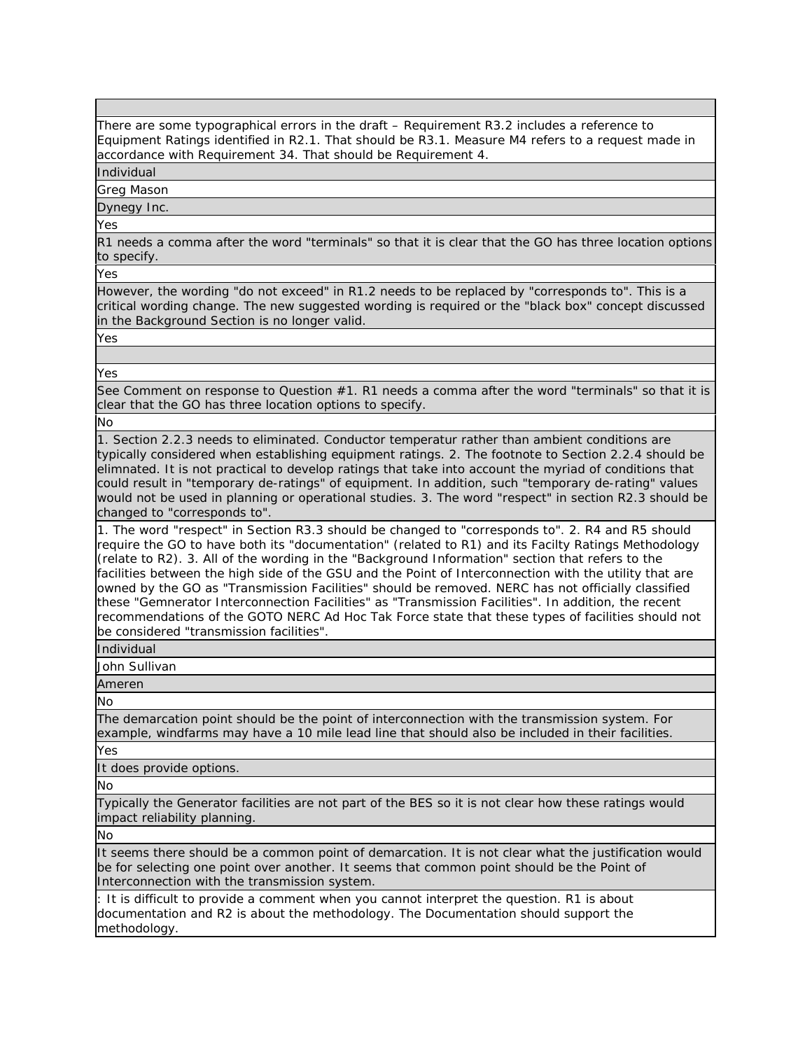There are some typographical errors in the draft – Requirement R3.2 includes a reference to Equipment Ratings identified in R2.1. That should be R3.1. Measure M4 refers to a request made in accordance with Requirement 34. That should be Requirement 4.

Individual

Greg Mason

Dynegy Inc.

Yes

R1 needs a comma after the word "terminals" so that it is clear that the GO has three location options to specify.

Yes

However, the wording "do not exceed" in R1.2 needs to be replaced by "corresponds to". This is a critical wording change. The new suggested wording is required or the "black box" concept discussed in the Background Section is no longer valid.

Yes

Yes

See Comment on response to Question #1. R1 needs a comma after the word "terminals" so that it is clear that the GO has three location options to specify.

No

1. Section 2.2.3 needs to eliminated. Conductor temperatur rather than ambient conditions are typically considered when establishing equipment ratings. 2. The footnote to Section 2.2.4 should be elimnated. It is not practical to develop ratings that take into account the myriad of conditions that could result in "temporary de-ratings" of equipment. In addition, such "temporary de-rating" values would not be used in planning or operational studies. 3. The word "respect" in section R2.3 should be changed to "corresponds to".

1. The word "respect" in Section R3.3 should be changed to "corresponds to". 2. R4 and R5 should require the GO to have both its "documentation" (related to R1) and its Facilty Ratings Methodology (relate to R2). 3. All of the wording in the "Background Information" section that refers to the facilities between the high side of the GSU and the Point of Interconnection with the utility that are owned by the GO as "Transmission Facilities" should be removed. NERC has not officially classified these "Gemnerator Interconnection Facilities" as "Transmission Facilities". In addition, the recent recommendations of the GOTO NERC Ad Hoc Tak Force state that these types of facilities should not be considered "transmission facilities".

Individual

John Sullivan

Ameren

No

The demarcation point should be the point of interconnection with the transmission system. For example, windfarms may have a 10 mile lead line that should also be included in their facilities.

Yes

It does provide options.

No

Typically the Generator facilities are not part of the BES so it is not clear how these ratings would impact reliability planning.

No

It seems there should be a common point of demarcation. It is not clear what the justification would be for selecting one point over another. It seems that common point should be the Point of Interconnection with the transmission system.

: It is difficult to provide a comment when you cannot interpret the question. R1 is about documentation and R2 is about the methodology. The Documentation should support the methodology.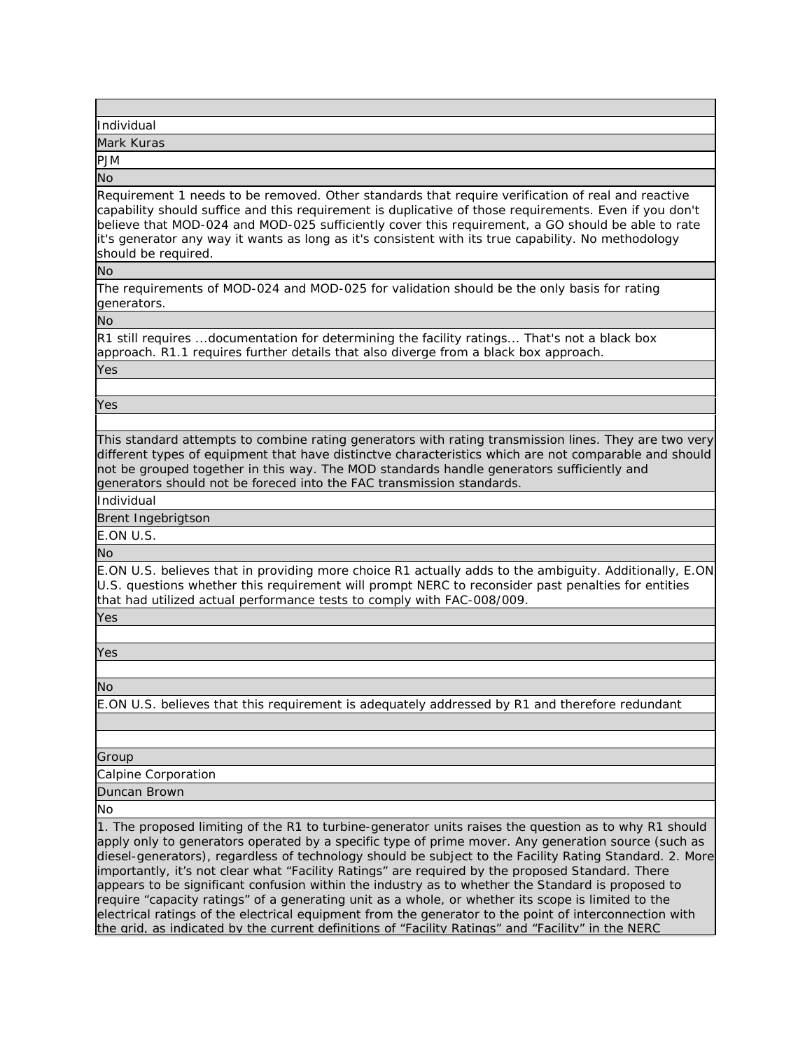| Individual |  |  |
|------------|--|--|
| Mark Kuras |  |  |

PJM

No

Requirement 1 needs to be removed. Other standards that require verification of real and reactive capability should suffice and this requirement is duplicative of those requirements. Even if you don't believe that MOD-024 and MOD-025 sufficiently cover this requirement, a GO should be able to rate it's generator any way it wants as long as it's consistent with its true capability. No methodology should be required.

No

The requirements of MOD-024 and MOD-025 for validation should be the only basis for rating generators.

No

R1 still requires ...documentation for determining the facility ratings... That's not a black box approach. R1.1 requires further details that also diverge from a black box approach.

Yes

Yes

This standard attempts to combine rating generators with rating transmission lines. They are two very different types of equipment that have distinctve characteristics which are not comparable and should not be grouped together in this way. The MOD standards handle generators sufficiently and generators should not be foreced into the FAC transmission standards.

Individual

Brent Ingebrigtson

E.ON U.S.

No

E.ON U.S. believes that in providing more choice R1 actually adds to the ambiguity. Additionally, E.ON U.S. questions whether this requirement will prompt NERC to reconsider past penalties for entities that had utilized actual performance tests to comply with FAC-008/009.

Yes

Yes

No

E.ON U.S. believes that this requirement is adequately addressed by R1 and therefore redundant

Group

Calpine Corporation

Duncan Brown

No

1. The proposed limiting of the R1 to turbine-generator units raises the question as to why R1 should apply only to generators operated by a specific type of prime mover. Any generation source (such as diesel-generators), regardless of technology should be subject to the Facility Rating Standard. 2. More importantly, it's not clear what "Facility Ratings" are required by the proposed Standard. There appears to be significant confusion within the industry as to whether the Standard is proposed to require "capacity ratings" of a generating unit as a whole, or whether its scope is limited to the electrical ratings of the electrical equipment from the generator to the point of interconnection with the grid, as indicated by the current definitions of "Facility Ratings" and "Facility" in the NERC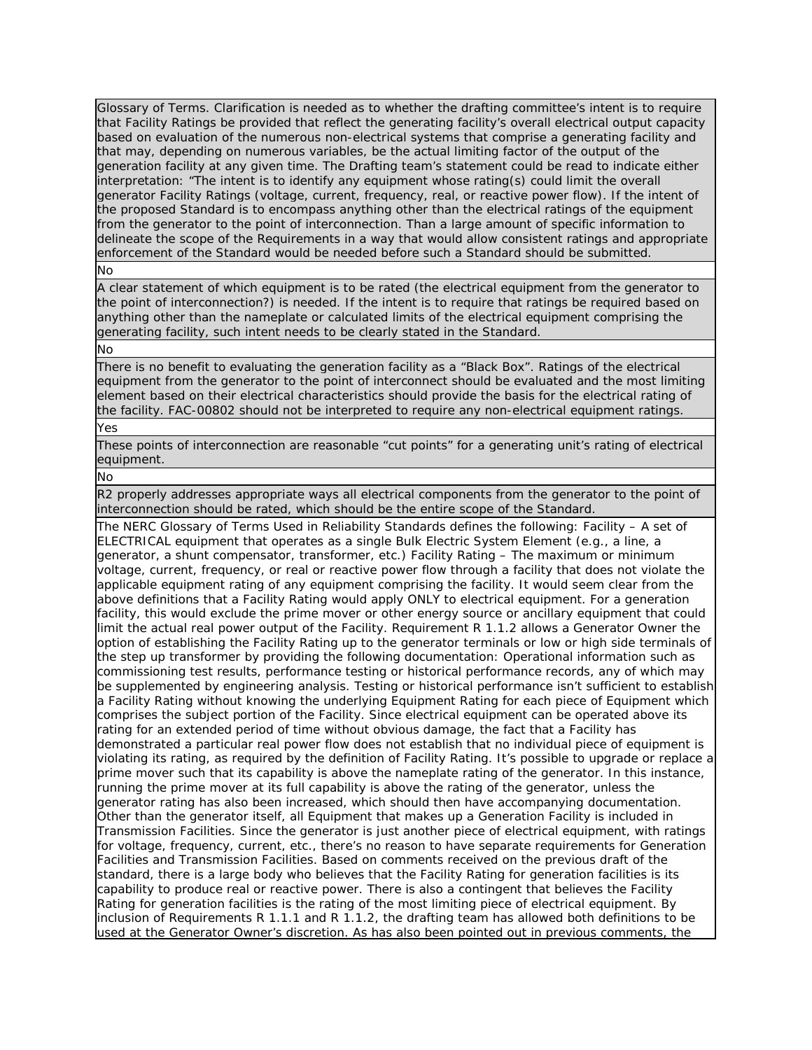Glossary of Terms. Clarification is needed as to whether the drafting committee's intent is to require that Facility Ratings be provided that reflect the generating facility's overall electrical output capacity based on evaluation of the numerous non-electrical systems that comprise a generating facility and that may, depending on numerous variables, be the actual limiting factor of the output of the generation facility at any given time. The Drafting team's statement could be read to indicate either interpretation: "The intent is to identify any equipment whose rating(s) could limit the overall generator Facility Ratings (voltage, current, frequency, real, or reactive power flow). If the intent of the proposed Standard is to encompass anything other than the electrical ratings of the equipment from the generator to the point of interconnection. Than a large amount of specific information to delineate the scope of the Requirements in a way that would allow consistent ratings and appropriate enforcement of the Standard would be needed before such a Standard should be submitted.

No

A clear statement of which equipment is to be rated (the electrical equipment from the generator to the point of interconnection?) is needed. If the intent is to require that ratings be required based on anything other than the nameplate or calculated limits of the electrical equipment comprising the generating facility, such intent needs to be clearly stated in the Standard.

#### No

There is no benefit to evaluating the generation facility as a "Black Box". Ratings of the electrical equipment from the generator to the point of interconnect should be evaluated and the most limiting element based on their electrical characteristics should provide the basis for the electrical rating of the facility. FAC-00802 should not be interpreted to require any non-electrical equipment ratings.

### Yes

These points of interconnection are reasonable "cut points" for a generating unit's rating of electrical equipment.

No

R2 properly addresses appropriate ways all electrical components from the generator to the point of interconnection should be rated, which should be the entire scope of the Standard.

The NERC Glossary of Terms Used in Reliability Standards defines the following: Facility – A set of ELECTRICAL equipment that operates as a single Bulk Electric System Element (e.g., a line, a generator, a shunt compensator, transformer, etc.) Facility Rating – The maximum or minimum voltage, current, frequency, or real or reactive power flow through a facility that does not violate the applicable equipment rating of any equipment comprising the facility. It would seem clear from the above definitions that a Facility Rating would apply ONLY to electrical equipment. For a generation facility, this would exclude the prime mover or other energy source or ancillary equipment that could limit the actual real power output of the Facility. Requirement R 1.1.2 allows a Generator Owner the option of establishing the Facility Rating up to the generator terminals or low or high side terminals of the step up transformer by providing the following documentation: Operational information such as commissioning test results, performance testing or historical performance records, any of which may be supplemented by engineering analysis. Testing or historical performance isn't sufficient to establish a Facility Rating without knowing the underlying Equipment Rating for each piece of Equipment which comprises the subject portion of the Facility. Since electrical equipment can be operated above its rating for an extended period of time without obvious damage, the fact that a Facility has demonstrated a particular real power flow does not establish that no individual piece of equipment is violating its rating, as required by the definition of Facility Rating. It's possible to upgrade or replace a prime mover such that its capability is above the nameplate rating of the generator. In this instance, running the prime mover at its full capability is above the rating of the generator, unless the generator rating has also been increased, which should then have accompanying documentation. Other than the generator itself, all Equipment that makes up a Generation Facility is included in Transmission Facilities. Since the generator is just another piece of electrical equipment, with ratings for voltage, frequency, current, etc., there's no reason to have separate requirements for Generation Facilities and Transmission Facilities. Based on comments received on the previous draft of the standard, there is a large body who believes that the Facility Rating for generation facilities is its capability to produce real or reactive power. There is also a contingent that believes the Facility Rating for generation facilities is the rating of the most limiting piece of electrical equipment. By inclusion of Requirements R 1.1.1 and R 1.1.2, the drafting team has allowed both definitions to be used at the Generator Owner's discretion. As has also been pointed out in previous comments, the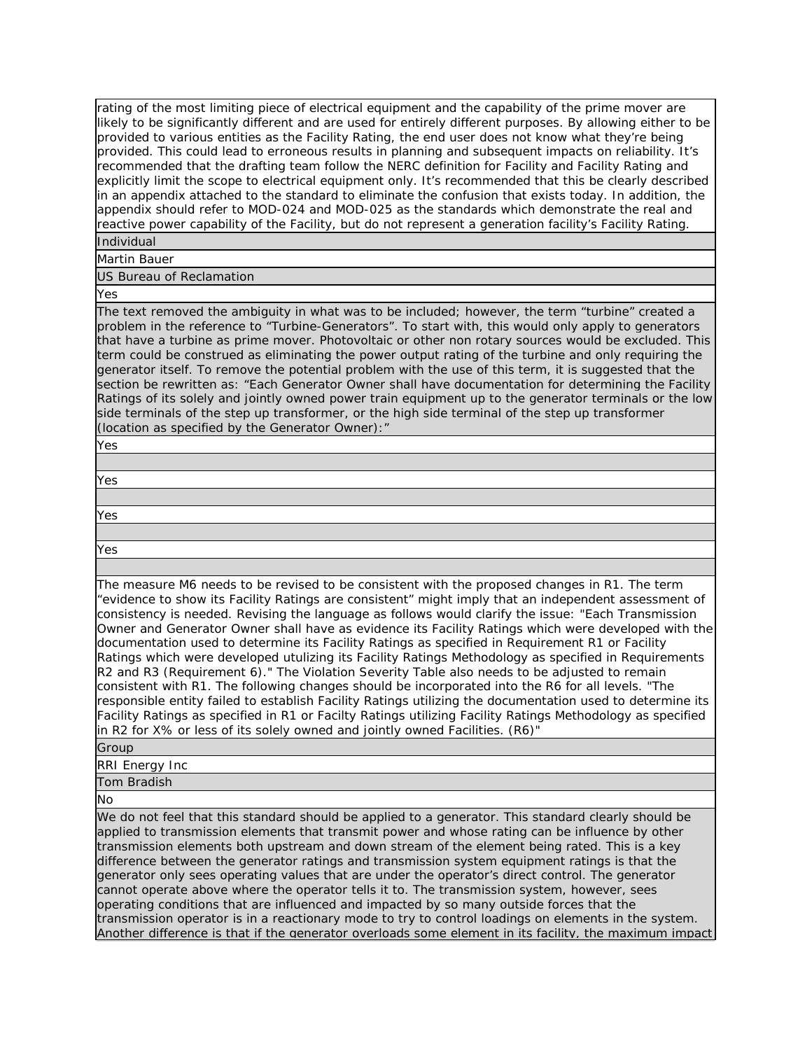rating of the most limiting piece of electrical equipment and the capability of the prime mover are likely to be significantly different and are used for entirely different purposes. By allowing either to be provided to various entities as the Facility Rating, the end user does not know what they're being provided. This could lead to erroneous results in planning and subsequent impacts on reliability. It's recommended that the drafting team follow the NERC definition for Facility and Facility Rating and explicitly limit the scope to electrical equipment only. It's recommended that this be clearly described in an appendix attached to the standard to eliminate the confusion that exists today. In addition, the appendix should refer to MOD-024 and MOD-025 as the standards which demonstrate the real and reactive power capability of the Facility, but do not represent a generation facility's Facility Rating. Individual

Martin Bauer

## US Bureau of Reclamation

Yes

The text removed the ambiguity in what was to be included; however, the term "turbine" created a problem in the reference to "Turbine-Generators". To start with, this would only apply to generators that have a turbine as prime mover. Photovoltaic or other non rotary sources would be excluded. This term could be construed as eliminating the power output rating of the turbine and only requiring the generator itself. To remove the potential problem with the use of this term, it is suggested that the section be rewritten as: "Each Generator Owner shall have documentation for determining the Facility Ratings of its solely and jointly owned power train equipment up to the generator terminals or the low side terminals of the step up transformer, or the high side terminal of the step up transformer (location as specified by the Generator Owner):"

Yes

Yes

Yes

Yes

The measure M6 needs to be revised to be consistent with the proposed changes in R1. The term "evidence to show its Facility Ratings are consistent" might imply that an independent assessment of consistency is needed. Revising the language as follows would clarify the issue: "Each Transmission Owner and Generator Owner shall have as evidence its Facility Ratings which were developed with the documentation used to determine its Facility Ratings as specified in Requirement R1 or Facility Ratings which were developed utulizing its Facility Ratings Methodology as specified in Requirements R2 and R3 (Requirement 6)." The Violation Severity Table also needs to be adjusted to remain consistent with R1. The following changes should be incorporated into the R6 for all levels. "The responsible entity failed to establish Facility Ratings utilizing the documentation used to determine its Facility Ratings as specified in R1 or Facilty Ratings utilizing Facility Ratings Methodology as specified in R2 for X% or less of its solely owned and jointly owned Facilities. (R6)"

#### Group

RRI Energy Inc

Tom Bradish

No

We do not feel that this standard should be applied to a generator. This standard clearly should be applied to transmission elements that transmit power and whose rating can be influence by other transmission elements both upstream and down stream of the element being rated. This is a key difference between the generator ratings and transmission system equipment ratings is that the generator only sees operating values that are under the operator's direct control. The generator cannot operate above where the operator tells it to. The transmission system, however, sees operating conditions that are influenced and impacted by so many outside forces that the transmission operator is in a reactionary mode to try to control loadings on elements in the system. Another difference is that if the generator overloads some element in its facility, the maximum impact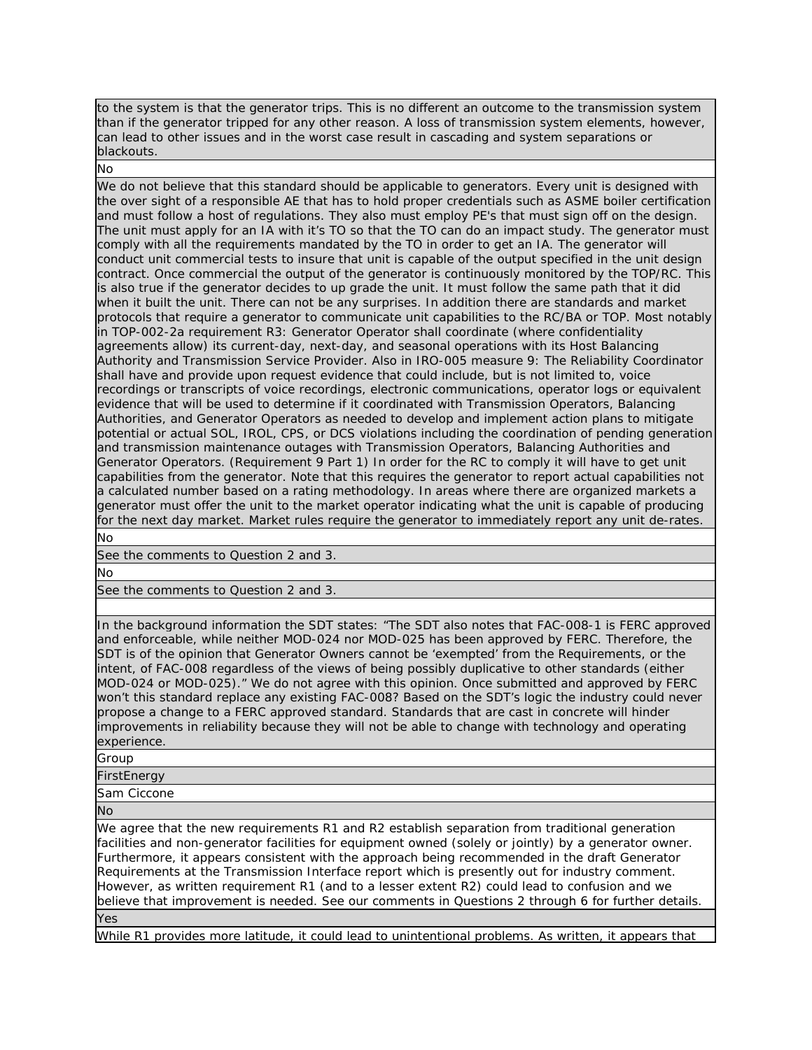to the system is that the generator trips. This is no different an outcome to the transmission system than if the generator tripped for any other reason. A loss of transmission system elements, however, can lead to other issues and in the worst case result in cascading and system separations or blackouts.

No

We do not believe that this standard should be applicable to generators. Every unit is designed with the over sight of a responsible AE that has to hold proper credentials such as ASME boiler certification and must follow a host of regulations. They also must employ PE's that must sign off on the design. The unit must apply for an IA with it's TO so that the TO can do an impact study. The generator must comply with all the requirements mandated by the TO in order to get an IA. The generator will conduct unit commercial tests to insure that unit is capable of the output specified in the unit design contract. Once commercial the output of the generator is continuously monitored by the TOP/RC. This is also true if the generator decides to up grade the unit. It must follow the same path that it did when it built the unit. There can not be any surprises. In addition there are standards and market protocols that require a generator to communicate unit capabilities to the RC/BA or TOP. Most notably in TOP-002-2a requirement R3: Generator Operator shall coordinate (where confidentiality agreements allow) its current-day, next-day, and seasonal operations with its Host Balancing Authority and Transmission Service Provider. Also in IRO-005 measure 9: The Reliability Coordinator shall have and provide upon request evidence that could include, but is not limited to, voice recordings or transcripts of voice recordings, electronic communications, operator logs or equivalent evidence that will be used to determine if it coordinated with Transmission Operators, Balancing Authorities, and Generator Operators as needed to develop and implement action plans to mitigate potential or actual SOL, IROL, CPS, or DCS violations including the coordination of pending generation and transmission maintenance outages with Transmission Operators, Balancing Authorities and Generator Operators. (Requirement 9 Part 1) In order for the RC to comply it will have to get unit capabilities from the generator. Note that this requires the generator to report actual capabilities not a calculated number based on a rating methodology. In areas where there are organized markets a generator must offer the unit to the market operator indicating what the unit is capable of producing for the next day market. Market rules require the generator to immediately report any unit de-rates. No

See the comments to Question 2 and 3.

No

See the comments to Question 2 and 3.

In the background information the SDT states: "The SDT also notes that FAC-008-1 is FERC approved and enforceable, while neither MOD-024 nor MOD-025 has been approved by FERC. Therefore, the SDT is of the opinion that Generator Owners cannot be 'exempted' from the Requirements, or the intent, of FAC-008 regardless of the views of being possibly duplicative to other standards (either MOD-024 or MOD-025)." We do not agree with this opinion. Once submitted and approved by FERC won't this standard replace any existing FAC-008? Based on the SDT's logic the industry could never propose a change to a FERC approved standard. Standards that are cast in concrete will hinder improvements in reliability because they will not be able to change with technology and operating experience.

Group

**FirstEnergy** 

Sam Ciccone

No

We agree that the new requirements R1 and R2 establish separation from traditional generation facilities and non-generator facilities for equipment owned (solely or jointly) by a generator owner. Furthermore, it appears consistent with the approach being recommended in the draft Generator Requirements at the Transmission Interface report which is presently out for industry comment. However, as written requirement R1 (and to a lesser extent R2) could lead to confusion and we believe that improvement is needed. See our comments in Questions 2 through 6 for further details. Yes

While R1 provides more latitude, it could lead to unintentional problems. As written, it appears that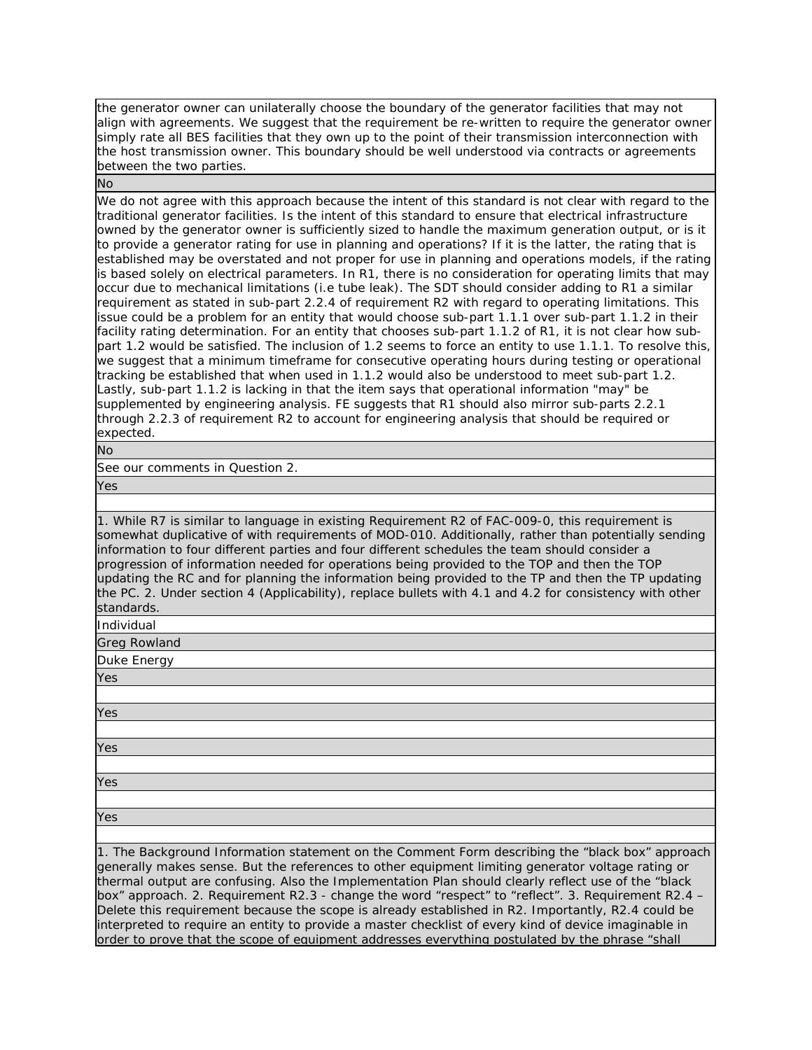the generator owner can unilaterally choose the boundary of the generator facilities that may not align with agreements. We suggest that the requirement be re-written to require the generator owner simply rate all BES facilities that they own up to the point of their transmission interconnection with the host transmission owner. This boundary should be well understood via contracts or agreements between the two parties.

No

We do not agree with this approach because the intent of this standard is not clear with regard to the traditional generator facilities. Is the intent of this standard to ensure that electrical infrastructure owned by the generator owner is sufficiently sized to handle the maximum generation output, or is it to provide a generator rating for use in planning and operations? If it is the latter, the rating that is established may be overstated and not proper for use in planning and operations models, if the rating is based solely on electrical parameters. In R1, there is no consideration for operating limits that may occur due to mechanical limitations (i.e tube leak). The SDT should consider adding to R1 a similar requirement as stated in sub-part 2.2.4 of requirement R2 with regard to operating limitations. This issue could be a problem for an entity that would choose sub-part 1.1.1 over sub-part 1.1.2 in their facility rating determination. For an entity that chooses sub-part 1.1.2 of R1, it is not clear how subpart 1.2 would be satisfied. The inclusion of 1.2 seems to force an entity to use 1.1.1. To resolve this, we suggest that a minimum timeframe for consecutive operating hours during testing or operational tracking be established that when used in 1.1.2 would also be understood to meet sub-part 1.2. Lastly, sub-part 1.1.2 is lacking in that the item says that operational information "may" be supplemented by engineering analysis. FE suggests that R1 should also mirror sub-parts 2.2.1 through 2.2.3 of requirement R2 to account for engineering analysis that should be required or expected.

No

See our comments in Question 2.

Yes

1. While R7 is similar to language in existing Requirement R2 of FAC-009-0, this requirement is somewhat duplicative of with requirements of MOD-010. Additionally, rather than potentially sending information to four different parties and four different schedules the team should consider a progression of information needed for operations being provided to the TOP and then the TOP updating the RC and for planning the information being provided to the TP and then the TP updating the PC. 2. Under section 4 (Applicability), replace bullets with 4.1 and 4.2 for consistency with other standards.

Individual

Greg Rowland

Duke Energy

Yes

Yes

Yes

Yes

Yes

1. The Background Information statement on the Comment Form describing the "black box" approach generally makes sense. But the references to other equipment limiting generator voltage rating or thermal output are confusing. Also the Implementation Plan should clearly reflect use of the "black box" approach. 2. Requirement R2.3 - change the word "respect" to "reflect". 3. Requirement R2.4 -Delete this requirement because the scope is already established in R2. Importantly, R2.4 could be interpreted to require an entity to provide a master checklist of every kind of device imaginable in order to prove that the scope of equipment addresses everything postulated by the phrase "shall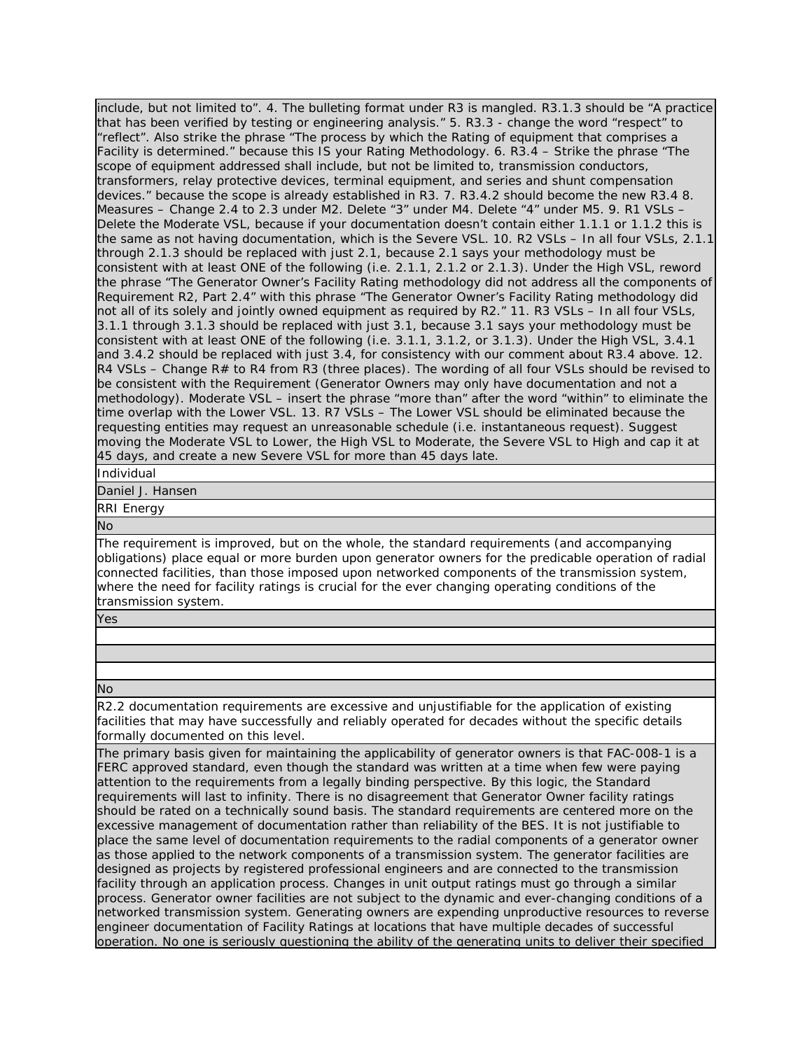include, but not limited to". 4. The bulleting format under R3 is mangled. R3.1.3 should be "A practice that has been verified by testing or engineering analysis." 5. R3.3 - change the word "respect" to "reflect". Also strike the phrase "The process by which the Rating of equipment that comprises a Facility is determined." because this IS your Rating Methodology. 6. R3.4 – Strike the phrase "The scope of equipment addressed shall include, but not be limited to, transmission conductors, transformers, relay protective devices, terminal equipment, and series and shunt compensation devices." because the scope is already established in R3. 7. R3.4.2 should become the new R3.4 8. Measures – Change 2.4 to 2.3 under M2. Delete "3" under M4. Delete "4" under M5. 9. R1 VSLs -Delete the Moderate VSL, because if your documentation doesn't contain either 1.1.1 or 1.1.2 this is the same as not having documentation, which is the Severe VSL. 10. R2 VSLs – In all four VSLs, 2.1.1 through 2.1.3 should be replaced with just 2.1, because 2.1 says your methodology must be consistent with at least ONE of the following (i.e. 2.1.1, 2.1.2 or 2.1.3). Under the High VSL, reword the phrase "The Generator Owner's Facility Rating methodology did not address all the components of Requirement R2, Part 2.4" with this phrase "The Generator Owner's Facility Rating methodology did not all of its solely and jointly owned equipment as required by R2." 11. R3 VSLs – In all four VSLs, 3.1.1 through 3.1.3 should be replaced with just 3.1, because 3.1 says your methodology must be consistent with at least ONE of the following (i.e. 3.1.1, 3.1.2, or 3.1.3). Under the High VSL, 3.4.1 and 3.4.2 should be replaced with just 3.4, for consistency with our comment about R3.4 above. 12. R4 VSLs – Change R# to R4 from R3 (three places). The wording of all four VSLs should be revised to be consistent with the Requirement (Generator Owners may only have documentation and not a methodology). Moderate VSL – insert the phrase "more than" after the word "within" to eliminate the time overlap with the Lower VSL. 13. R7 VSLs – The Lower VSL should be eliminated because the requesting entities may request an unreasonable schedule (i.e. instantaneous request). Suggest moving the Moderate VSL to Lower, the High VSL to Moderate, the Severe VSL to High and cap it at 45 days, and create a new Severe VSL for more than 45 days late.

Individual

Daniel J. Hansen

RRI Energy

No

The requirement is improved, but on the whole, the standard requirements (and accompanying obligations) place equal or more burden upon generator owners for the predicable operation of radial connected facilities, than those imposed upon networked components of the transmission system, where the need for facility ratings is crucial for the ever changing operating conditions of the transmission system.

Yes

No

R2.2 documentation requirements are excessive and unjustifiable for the application of existing facilities that may have successfully and reliably operated for decades without the specific details formally documented on this level.

The primary basis given for maintaining the applicability of generator owners is that FAC-008-1 is a FERC approved standard, even though the standard was written at a time when few were paying attention to the requirements from a legally binding perspective. By this logic, the Standard requirements will last to infinity. There is no disagreement that Generator Owner facility ratings should be rated on a technically sound basis. The standard requirements are centered more on the excessive management of documentation rather than reliability of the BES. It is not justifiable to place the same level of documentation requirements to the radial components of a generator owner as those applied to the network components of a transmission system. The generator facilities are designed as projects by registered professional engineers and are connected to the transmission facility through an application process. Changes in unit output ratings must go through a similar process. Generator owner facilities are not subject to the dynamic and ever-changing conditions of a networked transmission system. Generating owners are expending unproductive resources to reverse engineer documentation of Facility Ratings at locations that have multiple decades of successful operation. No one is seriously questioning the ability of the generating units to deliver their specified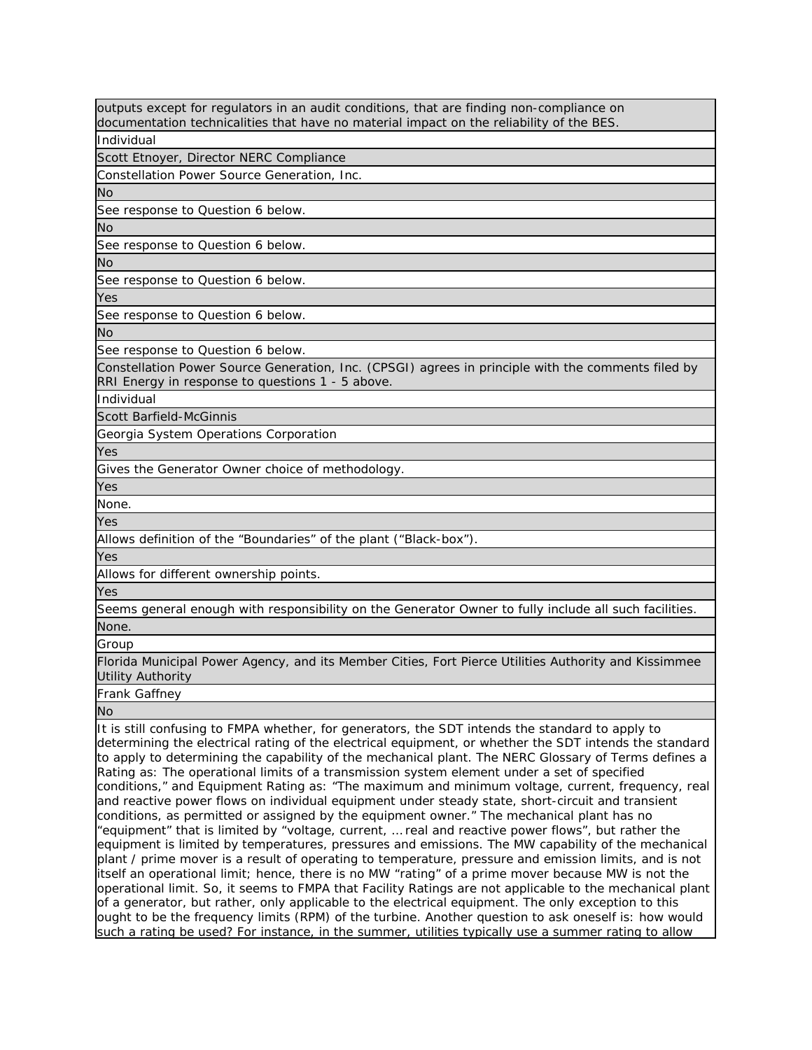outputs except for regulators in an audit conditions, that are finding non-compliance on documentation technicalities that have no material impact on the reliability of the BES.

Individual

Scott Etnoyer, Director NERC Compliance

Constellation Power Source Generation, Inc.

No

See response to Question 6 below.

No

See response to Question 6 below.

No

See response to Question 6 below.

Yes

See response to Question 6 below.

No

See response to Question 6 below.

Constellation Power Source Generation, Inc. (CPSGI) agrees in principle with the comments filed by RRI Energy in response to questions 1 - 5 above.

Individual

Scott Barfield-McGinnis

Georgia System Operations Corporation

Yes

Gives the Generator Owner choice of methodology.

Yes

None.

Yes

Allows definition of the "Boundaries" of the plant ("Black-box").

Yes

Allows for different ownership points.

Yes

Seems general enough with responsibility on the Generator Owner to fully include all such facilities. None.

Group

Florida Municipal Power Agency, and its Member Cities, Fort Pierce Utilities Authority and Kissimmee Utility Authority

Frank Gaffney

No

It is still confusing to FMPA whether, for generators, the SDT intends the standard to apply to determining the electrical rating of the electrical equipment, or whether the SDT intends the standard to apply to determining the capability of the mechanical plant. The NERC Glossary of Terms defines a Rating as: The operational limits of a transmission system element under a set of specified conditions," and Equipment Rating as: "The maximum and minimum voltage, current, frequency, real and reactive power flows on individual equipment under steady state, short-circuit and transient conditions, as permitted or assigned by the equipment owner." The mechanical plant has no "equipment" that is limited by "voltage, current, … real and reactive power flows", but rather the equipment is limited by temperatures, pressures and emissions. The MW capability of the mechanical plant / prime mover is a result of operating to temperature, pressure and emission limits, and is not itself an operational limit; hence, there is no MW "rating" of a prime mover because MW is not the operational limit. So, it seems to FMPA that Facility Ratings are not applicable to the mechanical plant of a generator, but rather, only applicable to the electrical equipment. The only exception to this ought to be the frequency limits (RPM) of the turbine. Another question to ask oneself is: how would such a rating be used? For instance, in the summer, utilities typically use a summer rating to allow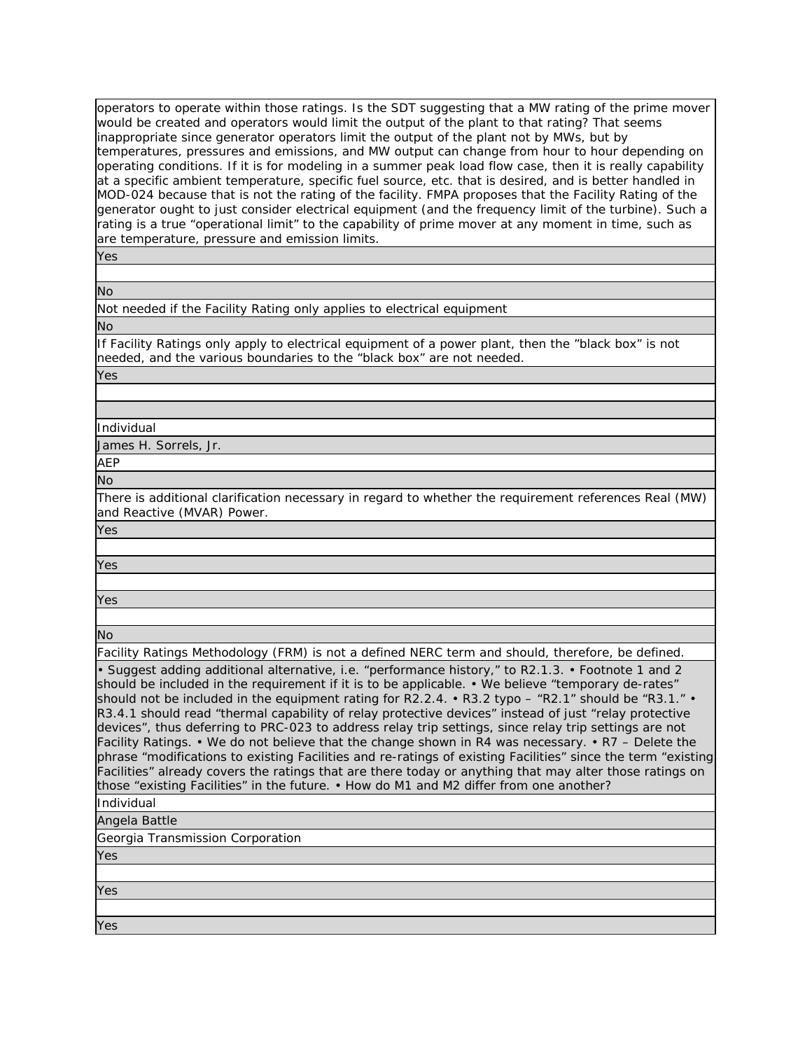operators to operate within those ratings. Is the SDT suggesting that a MW rating of the prime mover would be created and operators would limit the output of the plant to that rating? That seems inappropriate since generator operators limit the output of the plant not by MWs, but by temperatures, pressures and emissions, and MW output can change from hour to hour depending on operating conditions. If it is for modeling in a summer peak load flow case, then it is really capability at a specific ambient temperature, specific fuel source, etc. that is desired, and is better handled in MOD-024 because that is not the rating of the facility. FMPA proposes that the Facility Rating of the generator ought to just consider electrical equipment (and the frequency limit of the turbine). Such a rating is a true "operational limit" to the capability of prime mover at any moment in time, such as are temperature, pressure and emission limits.

Yes

No

Not needed if the Facility Rating only applies to electrical equipment No

If Facility Ratings only apply to electrical equipment of a power plant, then the "black box" is not needed, and the various boundaries to the "black box" are not needed.

Yes

Individual

James H. Sorrels, Jr.

AEP

No

There is additional clarification necessary in regard to whether the requirement references Real (MW) and Reactive (MVAR) Power.

Yes

Yes

Yes

No

Facility Ratings Methodology (FRM) is not a defined NERC term and should, therefore, be defined.

• Suggest adding additional alternative, i.e. "performance history," to R2.1.3. • Footnote 1 and 2 should be included in the requirement if it is to be applicable. • We believe "temporary de-rates" should not be included in the equipment rating for R2.2.4. • R3.2 typo  $-$  "R2.1" should be "R3.1." R3.4.1 should read "thermal capability of relay protective devices" instead of just "relay protective devices", thus deferring to PRC-023 to address relay trip settings, since relay trip settings are not Facility Ratings. • We do not believe that the change shown in R4 was necessary. • R7 – Delete the phrase "modifications to existing Facilities and re-ratings of existing Facilities" since the term "existing Facilities" already covers the ratings that are there today or anything that may alter those ratings on those "existing Facilities" in the future. • How do M1 and M2 differ from one another?

Individual

Angela Battle

Georgia Transmission Corporation

Yes

Yes

Yes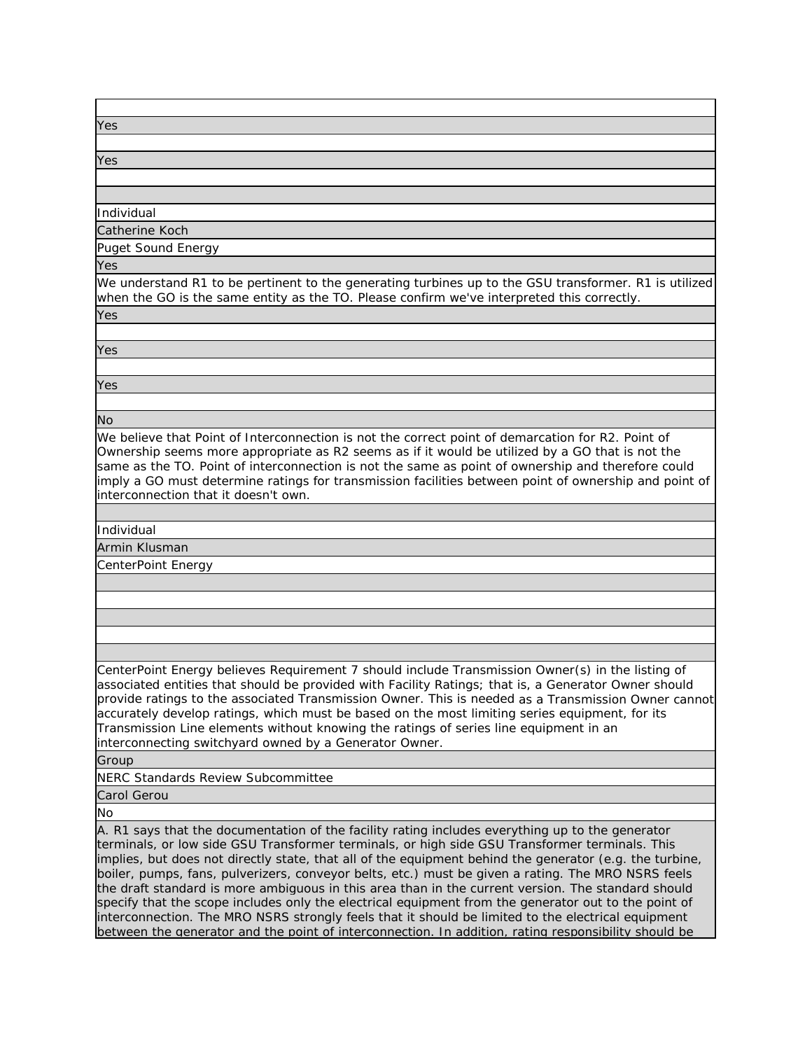| Yes |  |  |
|-----|--|--|
|     |  |  |

Yes

Individual

Catherine Koch

Puget Sound Energy

Yes

We understand R1 to be pertinent to the generating turbines up to the GSU transformer. R1 is utilized when the GO is the same entity as the TO. Please confirm we've interpreted this correctly.

Yes

Yes

Yes

No

We believe that Point of Interconnection is not the correct point of demarcation for R2. Point of Ownership seems more appropriate as R2 seems as if it would be utilized by a GO that is not the same as the TO. Point of interconnection is not the same as point of ownership and therefore could imply a GO must determine ratings for transmission facilities between point of ownership and point of interconnection that it doesn't own.

Individual

Armin Klusman

CenterPoint Energy

CenterPoint Energy believes Requirement 7 should include Transmission Owner(s) in the listing of associated entities that should be provided with Facility Ratings; that is, a Generator Owner should provide ratings to the associated Transmission Owner. This is needed as a Transmission Owner cannot accurately develop ratings, which must be based on the most limiting series equipment, for its Transmission Line elements without knowing the ratings of series line equipment in an interconnecting switchyard owned by a Generator Owner.

Group

NERC Standards Review Subcommittee

Carol Gerou

No

A. R1 says that the documentation of the facility rating includes everything up to the generator terminals, or low side GSU Transformer terminals, or high side GSU Transformer terminals. This implies, but does not directly state, that all of the equipment behind the generator (e.g. the turbine, boiler, pumps, fans, pulverizers, conveyor belts, etc.) must be given a rating. The MRO NSRS feels the draft standard is more ambiguous in this area than in the current version. The standard should specify that the scope includes only the electrical equipment from the generator out to the point of interconnection. The MRO NSRS strongly feels that it should be limited to the electrical equipment between the generator and the point of interconnection. In addition, rating responsibility should be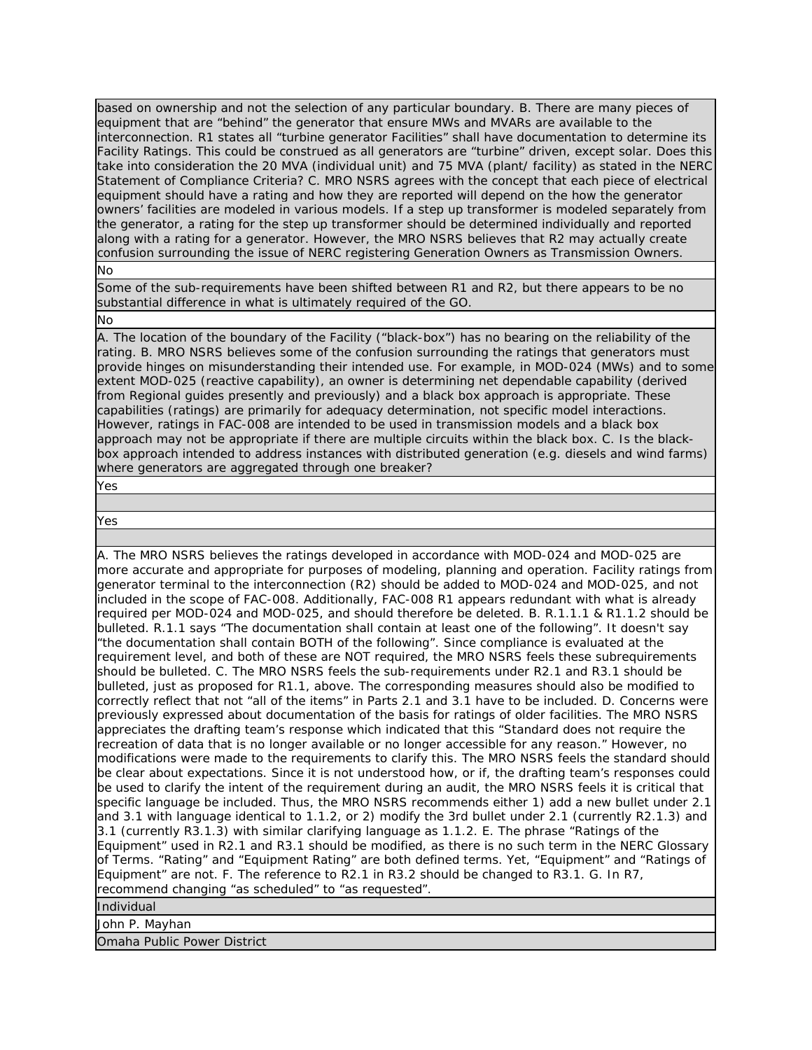based on ownership and not the selection of any particular boundary. B. There are many pieces of equipment that are "behind" the generator that ensure MWs and MVARs are available to the interconnection. R1 states all "turbine generator Facilities" shall have documentation to determine its Facility Ratings. This could be construed as all generators are "turbine" driven, except solar. Does this take into consideration the 20 MVA (individual unit) and 75 MVA (plant/ facility) as stated in the NERC Statement of Compliance Criteria? C. MRO NSRS agrees with the concept that each piece of electrical equipment should have a rating and how they are reported will depend on the how the generator owners' facilities are modeled in various models. If a step up transformer is modeled separately from the generator, a rating for the step up transformer should be determined individually and reported along with a rating for a generator. However, the MRO NSRS believes that R2 may actually create confusion surrounding the issue of NERC registering Generation Owners as Transmission Owners.

No

Some of the sub-requirements have been shifted between R1 and R2, but there appears to be no substantial difference in what is ultimately required of the GO.

No

A. The location of the boundary of the Facility ("black-box") has no bearing on the reliability of the rating. B. MRO NSRS believes some of the confusion surrounding the ratings that generators must provide hinges on misunderstanding their intended use. For example, in MOD-024 (MWs) and to some extent MOD-025 (reactive capability), an owner is determining net dependable capability (derived from Regional guides presently and previously) and a black box approach is appropriate. These capabilities (ratings) are primarily for adequacy determination, not specific model interactions. However, ratings in FAC-008 are intended to be used in transmission models and a black box approach may not be appropriate if there are multiple circuits within the black box. C. Is the blackbox approach intended to address instances with distributed generation (e.g. diesels and wind farms) where generators are aggregated through one breaker?

Yes

Yes

A. The MRO NSRS believes the ratings developed in accordance with MOD-024 and MOD-025 are more accurate and appropriate for purposes of modeling, planning and operation. Facility ratings from generator terminal to the interconnection (R2) should be added to MOD-024 and MOD-025, and not included in the scope of FAC-008. Additionally, FAC-008 R1 appears redundant with what is already required per MOD-024 and MOD-025, and should therefore be deleted. B. R.1.1.1 & R1.1.2 should be bulleted. R.1.1 says "The documentation shall contain at least one of the following". It doesn't say "the documentation shall contain BOTH of the following". Since compliance is evaluated at the requirement level, and both of these are NOT required, the MRO NSRS feels these subrequirements should be bulleted. C. The MRO NSRS feels the sub-requirements under R2.1 and R3.1 should be bulleted, just as proposed for R1.1, above. The corresponding measures should also be modified to correctly reflect that not "all of the items" in Parts 2.1 and 3.1 have to be included. D. Concerns were previously expressed about documentation of the basis for ratings of older facilities. The MRO NSRS appreciates the drafting team's response which indicated that this "Standard does not require the recreation of data that is no longer available or no longer accessible for any reason." However, no modifications were made to the requirements to clarify this. The MRO NSRS feels the standard should be clear about expectations. Since it is not understood how, or if, the drafting team's responses could be used to clarify the intent of the requirement during an audit, the MRO NSRS feels it is critical that specific language be included. Thus, the MRO NSRS recommends either 1) add a new bullet under 2.1 and 3.1 with language identical to 1.1.2, or 2) modify the 3rd bullet under 2.1 (currently R2.1.3) and 3.1 (currently R3.1.3) with similar clarifying language as 1.1.2. E. The phrase "Ratings of the Equipment" used in R2.1 and R3.1 should be modified, as there is no such term in the NERC Glossary of Terms. "Rating" and "Equipment Rating" are both defined terms. Yet, "Equipment" and "Ratings of Equipment" are not. F. The reference to R2.1 in R3.2 should be changed to R3.1. G. In R7, recommend changing "as scheduled" to "as requested". Individual

John P. Mayhan

Omaha Public Power District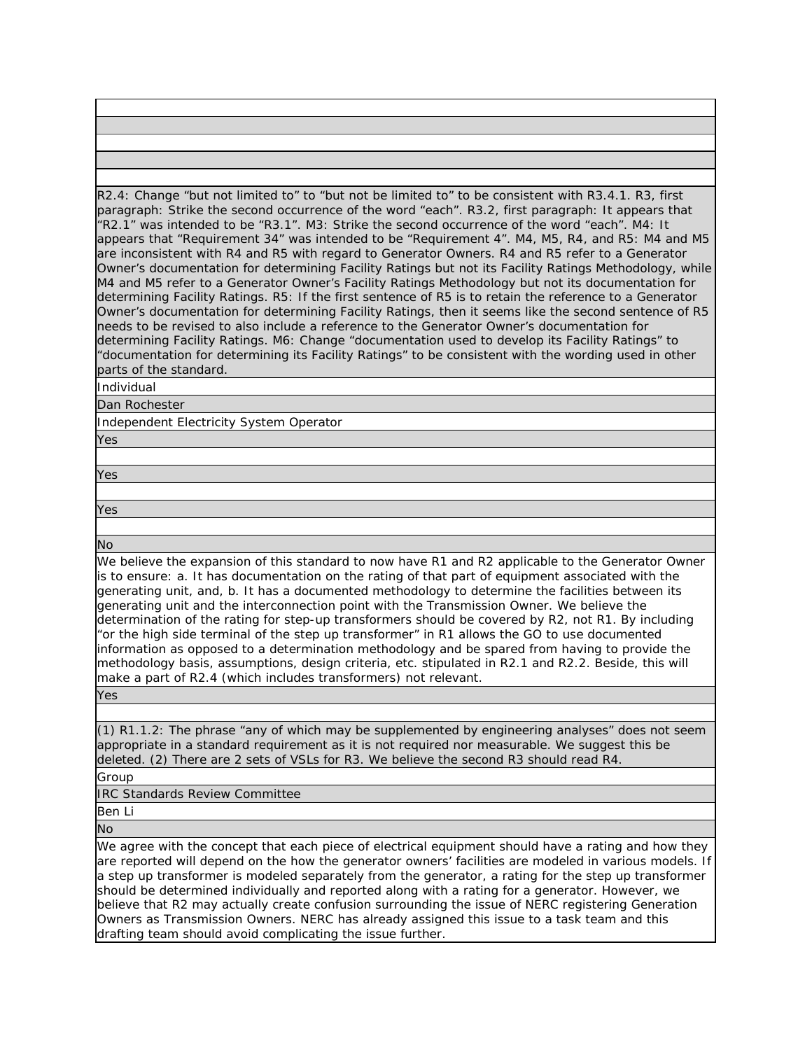R2.4: Change "but not limited to" to "but not be limited to" to be consistent with R3.4.1. R3, first paragraph: Strike the second occurrence of the word "each". R3.2, first paragraph: It appears that "R2.1" was intended to be "R3.1". M3: Strike the second occurrence of the word "each". M4: It appears that "Requirement 34" was intended to be "Requirement 4". M4, M5, R4, and R5: M4 and M5 are inconsistent with R4 and R5 with regard to Generator Owners. R4 and R5 refer to a Generator Owner's documentation for determining Facility Ratings but not its Facility Ratings Methodology, while M4 and M5 refer to a Generator Owner's Facility Ratings Methodology but not its documentation for determining Facility Ratings. R5: If the first sentence of R5 is to retain the reference to a Generator Owner's documentation for determining Facility Ratings, then it seems like the second sentence of R5 needs to be revised to also include a reference to the Generator Owner's documentation for determining Facility Ratings. M6: Change "documentation used to develop its Facility Ratings" to "documentation for determining its Facility Ratings" to be consistent with the wording used in other parts of the standard.

Individual

Dan Rochester

Independent Electricity System Operator

Yes

Yes

Yes

No

We believe the expansion of this standard to now have R1 and R2 applicable to the Generator Owner is to ensure: a. It has documentation on the rating of that part of equipment associated with the generating unit, and, b. It has a documented methodology to determine the facilities between its generating unit and the interconnection point with the Transmission Owner. We believe the determination of the rating for step-up transformers should be covered by R2, not R1. By including "or the high side terminal of the step up transformer" in R1 allows the GO to use documented information as opposed to a determination methodology and be spared from having to provide the methodology basis, assumptions, design criteria, etc. stipulated in R2.1 and R2.2. Beside, this will make a part of R2.4 (which includes transformers) not relevant.

Yes

(1) R1.1.2: The phrase "any of which may be supplemented by engineering analyses" does not seem appropriate in a standard requirement as it is not required nor measurable. We suggest this be deleted. (2) There are 2 sets of VSLs for R3. We believe the second R3 should read R4.

Group

IRC Standards Review Committee

Ben Li

No

We agree with the concept that each piece of electrical equipment should have a rating and how they are reported will depend on the how the generator owners' facilities are modeled in various models. If a step up transformer is modeled separately from the generator, a rating for the step up transformer should be determined individually and reported along with a rating for a generator. However, we believe that R2 may actually create confusion surrounding the issue of NERC registering Generation Owners as Transmission Owners. NERC has already assigned this issue to a task team and this drafting team should avoid complicating the issue further.